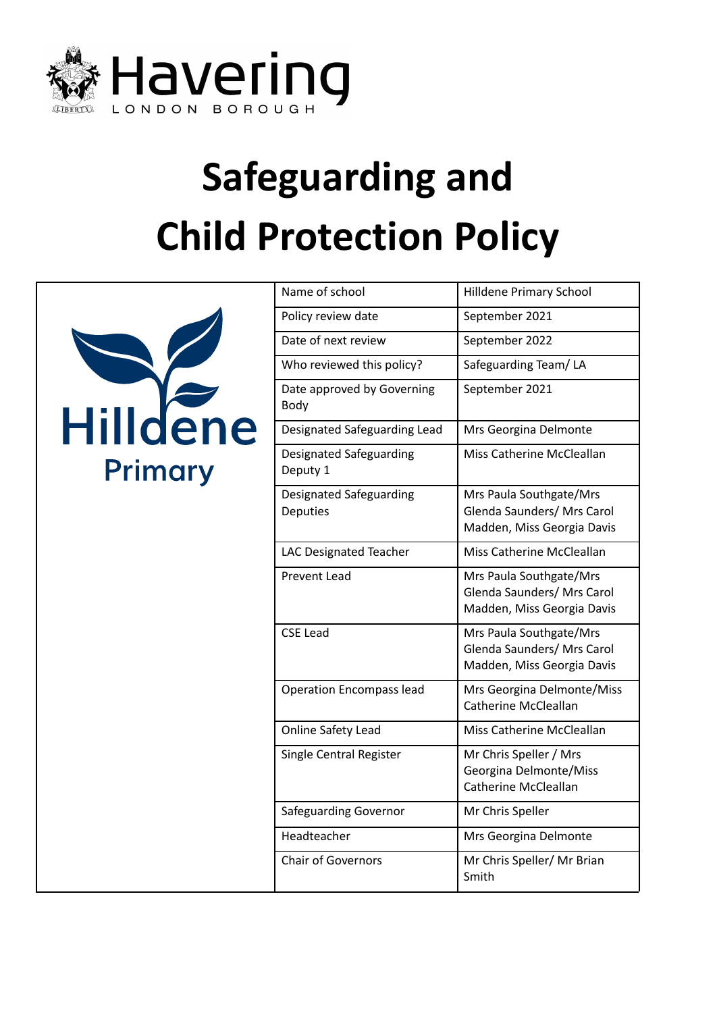



| Name of school                             | <b>Hilldene Primary School</b>                                                      |
|--------------------------------------------|-------------------------------------------------------------------------------------|
| Policy review date                         | September 2021                                                                      |
| Date of next review                        | September 2022                                                                      |
| Who reviewed this policy?                  | Safeguarding Team/LA                                                                |
| Date approved by Governing<br>Body         | September 2021                                                                      |
| Designated Safeguarding Lead               | Mrs Georgina Delmonte                                                               |
| Designated Safeguarding<br>Deputy 1        | Miss Catherine McCleallan                                                           |
| Designated Safeguarding<br><b>Deputies</b> | Mrs Paula Southgate/Mrs<br>Glenda Saunders/ Mrs Carol<br>Madden, Miss Georgia Davis |
| LAC Designated Teacher                     | Miss Catherine McCleallan                                                           |
| Prevent Lead                               | Mrs Paula Southgate/Mrs<br>Glenda Saunders/ Mrs Carol<br>Madden, Miss Georgia Davis |
| <b>CSE Lead</b>                            | Mrs Paula Southgate/Mrs<br>Glenda Saunders/ Mrs Carol<br>Madden, Miss Georgia Davis |
| <b>Operation Encompass lead</b>            | Mrs Georgina Delmonte/Miss<br><b>Catherine McCleallan</b>                           |
| Online Safety Lead                         | Miss Catherine McCleallan                                                           |
| Single Central Register                    | Mr Chris Speller / Mrs<br>Georgina Delmonte/Miss<br><b>Catherine McCleallan</b>     |
| <b>Safeguarding Governor</b>               | Mr Chris Speller                                                                    |
| Headteacher                                | Mrs Georgina Delmonte                                                               |
| <b>Chair of Governors</b>                  | Mr Chris Speller/ Mr Brian<br>Smith                                                 |
|                                            |                                                                                     |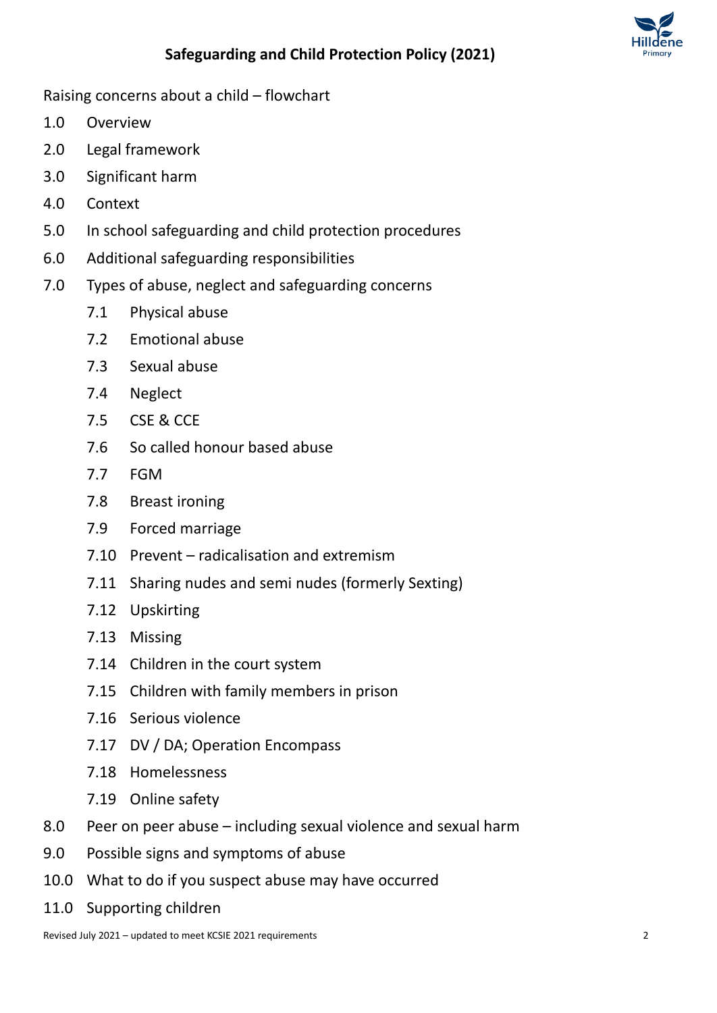

Raising concerns about a child – flowchart

- 1.0 Overview
- 2.0 Legal framework
- 3.0 Significant harm
- 4.0 Context
- 5.0 In school safeguarding and child protection procedures
- 6.0 Additional safeguarding responsibilities
- 7.0 Types of abuse, neglect and safeguarding concerns
	- 7.1 Physical abuse
	- 7.2 Emotional abuse
	- 7.3 Sexual abuse
	- 7.4 Neglect
	- 7.5 CSE & CCE
	- 7.6 So called honour based abuse
	- 7.7 FGM
	- 7.8 Breast ironing
	- 7.9 Forced marriage
	- 7.10 Prevent radicalisation and extremism
	- 7.11 Sharing nudes and semi nudes (formerly Sexting)
	- 7.12 Upskirting
	- 7.13 Missing
	- 7.14 Children in the court system
	- 7.15 Children with family members in prison
	- 7.16 Serious violence
	- 7.17 DV / DA; Operation Encompass
	- 7.18 Homelessness
	- 7.19 Online safety
- 8.0 Peer on peer abuse including sexual violence and sexual harm
- 9.0 Possible signs and symptoms of abuse
- 10.0 What to do if you suspect abuse may have occurred
- 11.0 Supporting children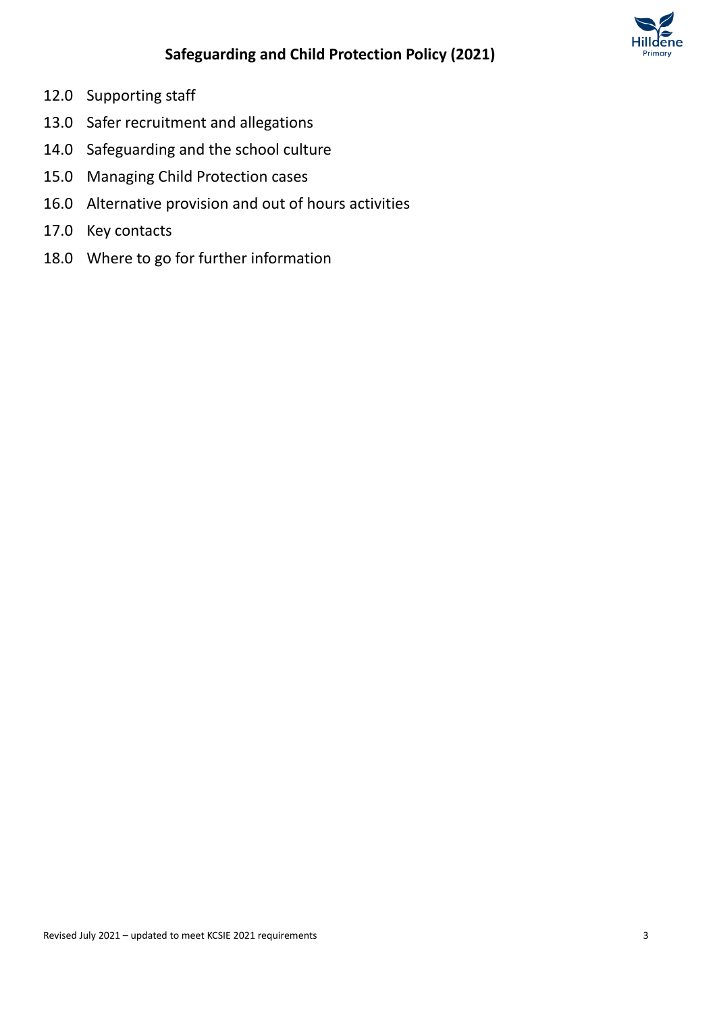

- 12.0 Supporting staff
- 13.0 Safer recruitment and allegations
- 14.0 Safeguarding and the school culture
- 15.0 Managing Child Protection cases
- 16.0 Alternative provision and out of hours activities
- 17.0 Key contacts
- 18.0 Where to go for further information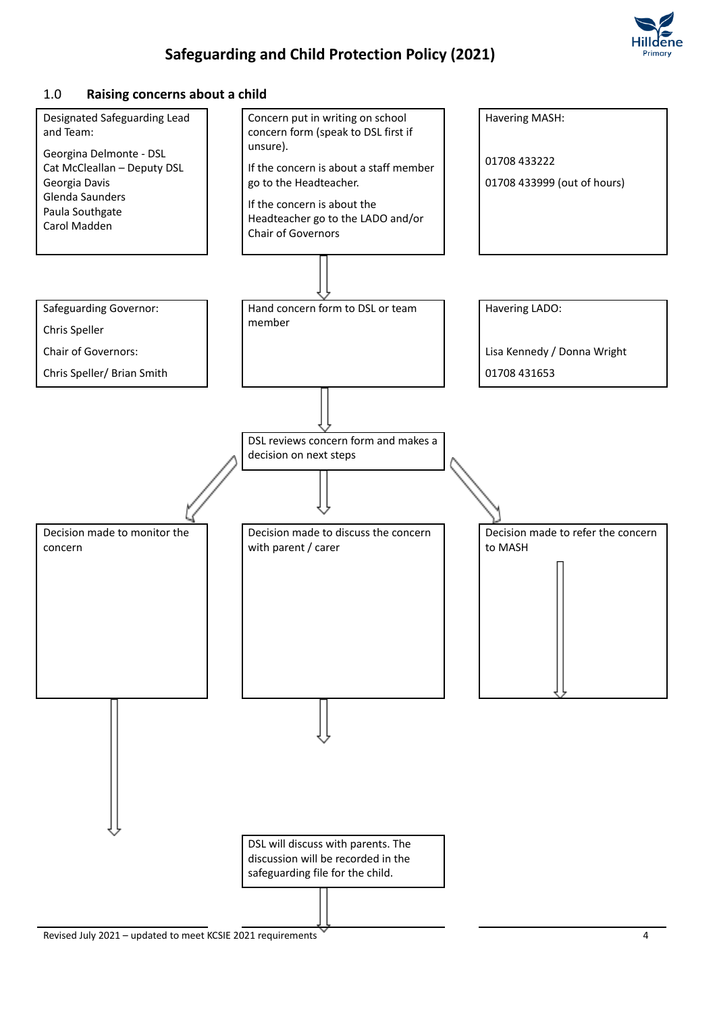

#### 1.0 **Raising concerns about a child**

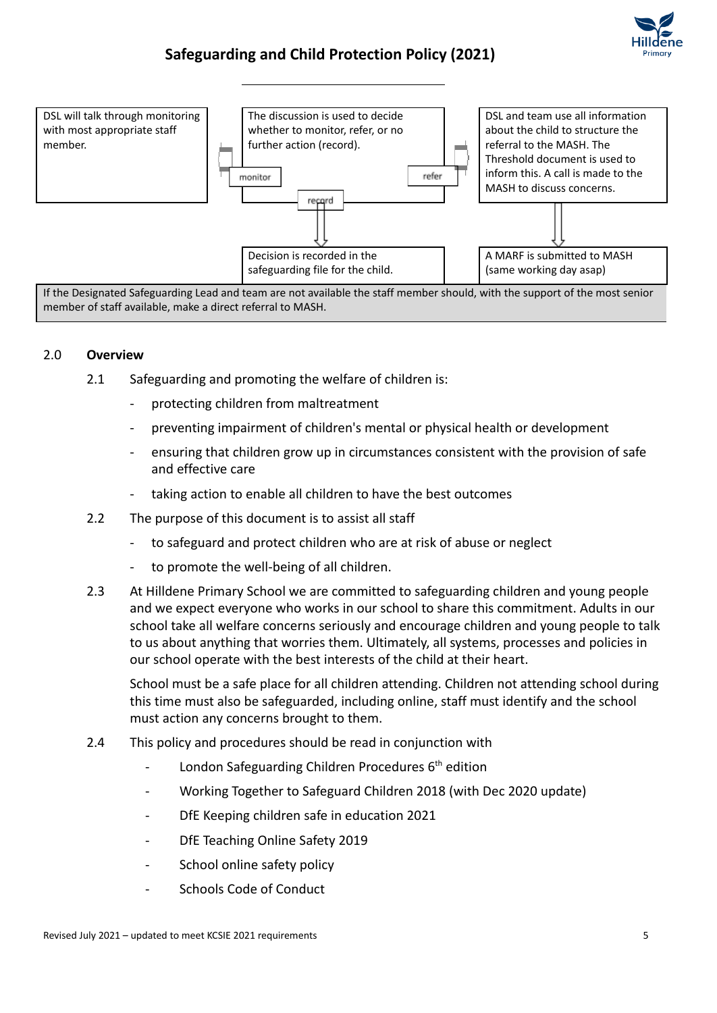



If the Designated Safeguarding Lead and team are not available the staff member should, with the support of the most senior member of staff available, make a direct referral to MASH.

#### 2.0 **Overview**

- 2.1 Safeguarding and promoting the welfare of children is:
	- protecting children from maltreatment
	- preventing impairment of children's mental or physical health or development
	- ensuring that children grow up in circumstances consistent with the provision of safe and effective care
	- taking action to enable all children to have the best outcomes
- 2.2 The purpose of this document is to assist all staff
	- to safeguard and protect children who are at risk of abuse or neglect
	- to promote the well-being of all children.
- 2.3 At Hilldene Primary School we are committed to safeguarding children and young people and we expect everyone who works in our school to share this commitment. Adults in our school take all welfare concerns seriously and encourage children and young people to talk to us about anything that worries them. Ultimately, all systems, processes and policies in our school operate with the best interests of the child at their heart.

School must be a safe place for all children attending. Children not attending school during this time must also be safeguarded, including online, staff must identify and the school must action any concerns brought to them.

- 2.4 This policy and procedures should be read in conjunction with
	- London Safeguarding Children Procedures 6<sup>th</sup> edition
	- Working Together to Safeguard Children 2018 (with Dec 2020 update)
	- DfE Keeping children safe in education 2021
	- DfE Teaching Online Safety 2019
	- School online safety policy
	- Schools Code of Conduct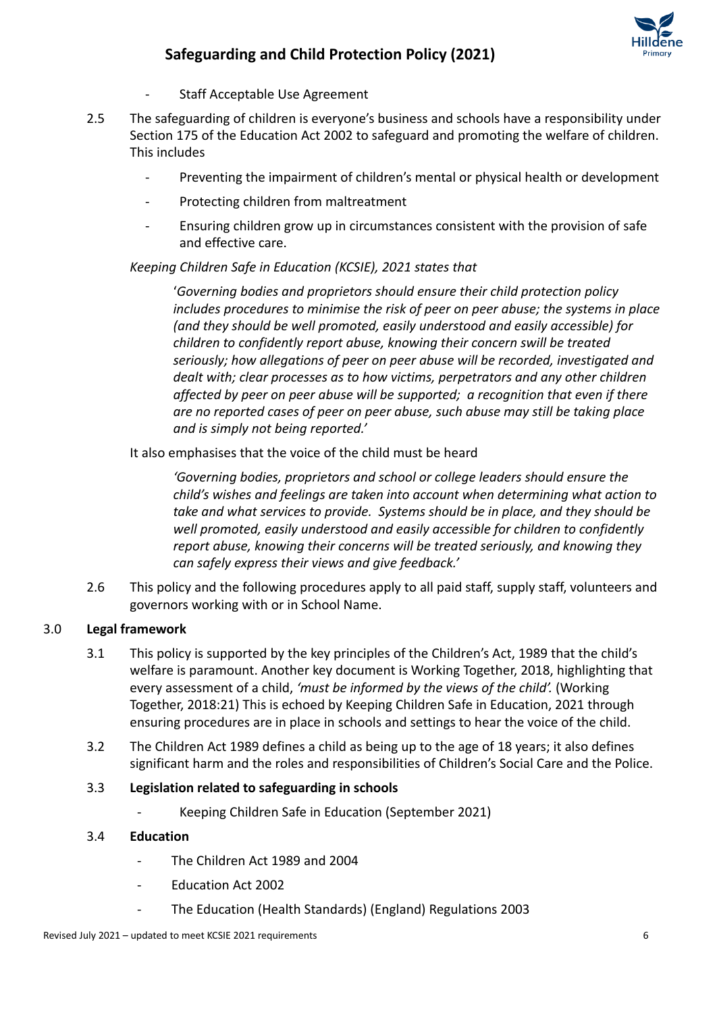

- Staff Acceptable Use Agreement
- 2.5 The safeguarding of children is everyone's business and schools have a responsibility under Section 175 of the Education Act 2002 to safeguard and promoting the welfare of children. This includes
	- Preventing the impairment of children's mental or physical health or development
	- Protecting children from maltreatment
	- Ensuring children grow up in circumstances consistent with the provision of safe and effective care.

### *Keeping Children Safe in Education (KCSIE), 2021 states that*

'*Governing bodies and proprietors should ensure their child protection policy includes procedures to minimise the risk of peer on peer abuse; the systems in place (and they should be well promoted, easily understood and easily accessible) for children to confidently report abuse, knowing their concern swill be treated seriously; how allegations of peer on peer abuse will be recorded, investigated and dealt with; clear processes as to how victims, perpetrators and any other children affected by peer on peer abuse will be supported; a recognition that even if there are no reported cases of peer on peer abuse, such abuse may still be taking place and is simply not being reported.'*

It also emphasises that the voice of the child must be heard

*'Governing bodies, proprietors and school or college leaders should ensure the child's wishes and feelings are taken into account when determining what action to take and what services to provide. Systems should be in place, and they should be well promoted, easily understood and easily accessible for children to confidently report abuse, knowing their concerns will be treated seriously, and knowing they can safely express their views and give feedback.'*

2.6 This policy and the following procedures apply to all paid staff, supply staff, volunteers and governors working with or in School Name.

### 3.0 **Legal framework**

- 3.1 This policy is supported by the key principles of the Children's Act, 1989 that the child's welfare is paramount. Another key document is Working Together, 2018, highlighting that every assessment of a child, *'must be informed by the views of the child'.* (Working Together, 2018:21) This is echoed by Keeping Children Safe in Education, 2021 through ensuring procedures are in place in schools and settings to hear the voice of the child.
- 3.2 The Children Act 1989 defines a child as being up to the age of 18 years; it also defines significant harm and the roles and responsibilities of Children's Social Care and the Police.

### 3.3 **Legislation related to safeguarding in schools**

- Keeping Children Safe in Education (September 2021)

### 3.4 **Education**

- The Children Act 1989 and 2004
- Education Act 2002
- The Education (Health Standards) (England) Regulations 2003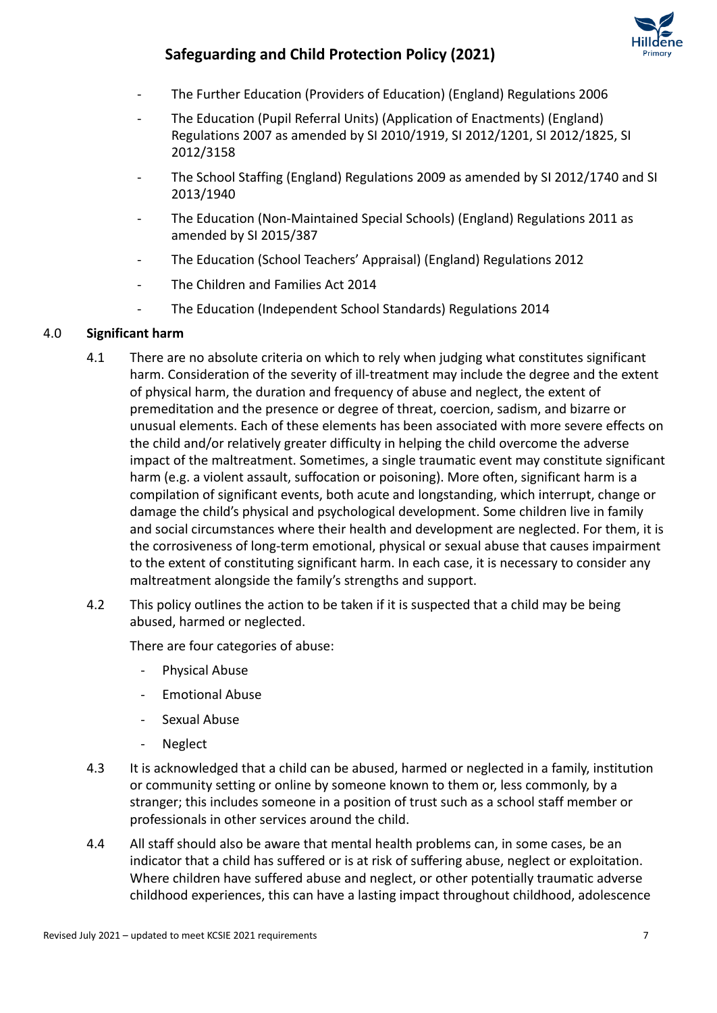

- The Further Education (Providers of Education) (England) Regulations 2006
- The Education (Pupil Referral Units) (Application of Enactments) (England) Regulations 2007 as amended by SI 2010/1919, SI 2012/1201, SI 2012/1825, SI 2012/3158
- The School Staffing (England) Regulations 2009 as amended by SI 2012/1740 and SI 2013/1940
- The Education (Non-Maintained Special Schools) (England) Regulations 2011 as amended by SI 2015/387
- The Education (School Teachers' Appraisal) (England) Regulations 2012
- The Children and Families Act 2014
- The Education (Independent School Standards) Regulations 2014

#### 4.0 **Significant harm**

- 4.1 There are no absolute criteria on which to rely when judging what constitutes significant harm. Consideration of the severity of ill-treatment may include the degree and the extent of physical harm, the duration and frequency of abuse and neglect, the extent of premeditation and the presence or degree of threat, coercion, sadism, and bizarre or unusual elements. Each of these elements has been associated with more severe effects on the child and/or relatively greater difficulty in helping the child overcome the adverse impact of the maltreatment. Sometimes, a single traumatic event may constitute significant harm (e.g. a violent assault, suffocation or poisoning). More often, significant harm is a compilation of significant events, both acute and longstanding, which interrupt, change or damage the child's physical and psychological development. Some children live in family and social circumstances where their health and development are neglected. For them, it is the corrosiveness of long-term emotional, physical or sexual abuse that causes impairment to the extent of constituting significant harm. In each case, it is necessary to consider any maltreatment alongside the family's strengths and support.
- 4.2 This policy outlines the action to be taken if it is suspected that a child may be being abused, harmed or neglected.

There are four categories of abuse:

- Physical Abuse
- Emotional Abuse
- Sexual Abuse
- Neglect
- 4.3 It is acknowledged that a child can be abused, harmed or neglected in a family, institution or community setting or online by someone known to them or, less commonly, by a stranger; this includes someone in a position of trust such as a school staff member or professionals in other services around the child.
- 4.4 All staff should also be aware that mental health problems can, in some cases, be an indicator that a child has suffered or is at risk of suffering abuse, neglect or exploitation. Where children have suffered abuse and neglect, or other potentially traumatic adverse childhood experiences, this can have a lasting impact throughout childhood, adolescence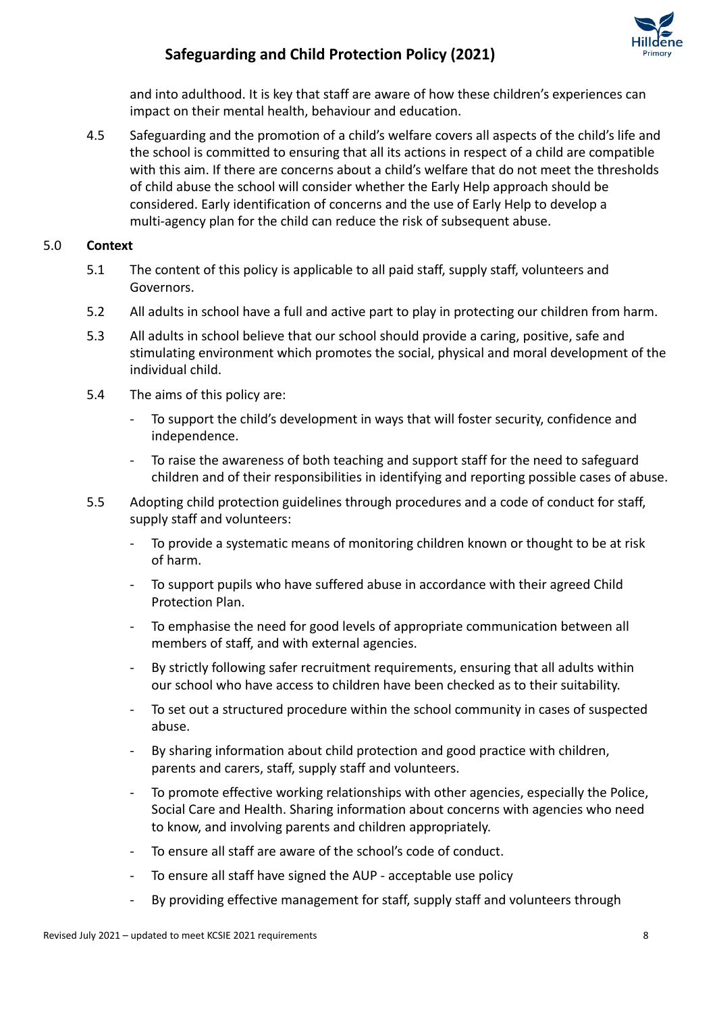

and into adulthood. It is key that staff are aware of how these children's experiences can impact on their mental health, behaviour and education.

4.5 Safeguarding and the promotion of a child's welfare covers all aspects of the child's life and the school is committed to ensuring that all its actions in respect of a child are compatible with this aim. If there are concerns about a child's welfare that do not meet the thresholds of child abuse the school will consider whether the Early Help approach should be considered. Early identification of concerns and the use of Early Help to develop a multi-agency plan for the child can reduce the risk of subsequent abuse.

### 5.0 **Context**

- 5.1 The content of this policy is applicable to all paid staff, supply staff, volunteers and Governors.
- 5.2 All adults in school have a full and active part to play in protecting our children from harm.
- 5.3 All adults in school believe that our school should provide a caring, positive, safe and stimulating environment which promotes the social, physical and moral development of the individual child.
- 5.4 The aims of this policy are:
	- To support the child's development in ways that will foster security, confidence and independence.
	- To raise the awareness of both teaching and support staff for the need to safeguard children and of their responsibilities in identifying and reporting possible cases of abuse.
- 5.5 Adopting child protection guidelines through procedures and a code of conduct for staff, supply staff and volunteers:
	- To provide a systematic means of monitoring children known or thought to be at risk of harm.
	- To support pupils who have suffered abuse in accordance with their agreed Child Protection Plan.
	- To emphasise the need for good levels of appropriate communication between all members of staff, and with external agencies.
	- By strictly following safer recruitment requirements, ensuring that all adults within our school who have access to children have been checked as to their suitability.
	- To set out a structured procedure within the school community in cases of suspected abuse.
	- By sharing information about child protection and good practice with children, parents and carers, staff, supply staff and volunteers.
	- To promote effective working relationships with other agencies, especially the Police, Social Care and Health. Sharing information about concerns with agencies who need to know, and involving parents and children appropriately.
	- To ensure all staff are aware of the school's code of conduct.
	- To ensure all staff have signed the AUP acceptable use policy
	- By providing effective management for staff, supply staff and volunteers through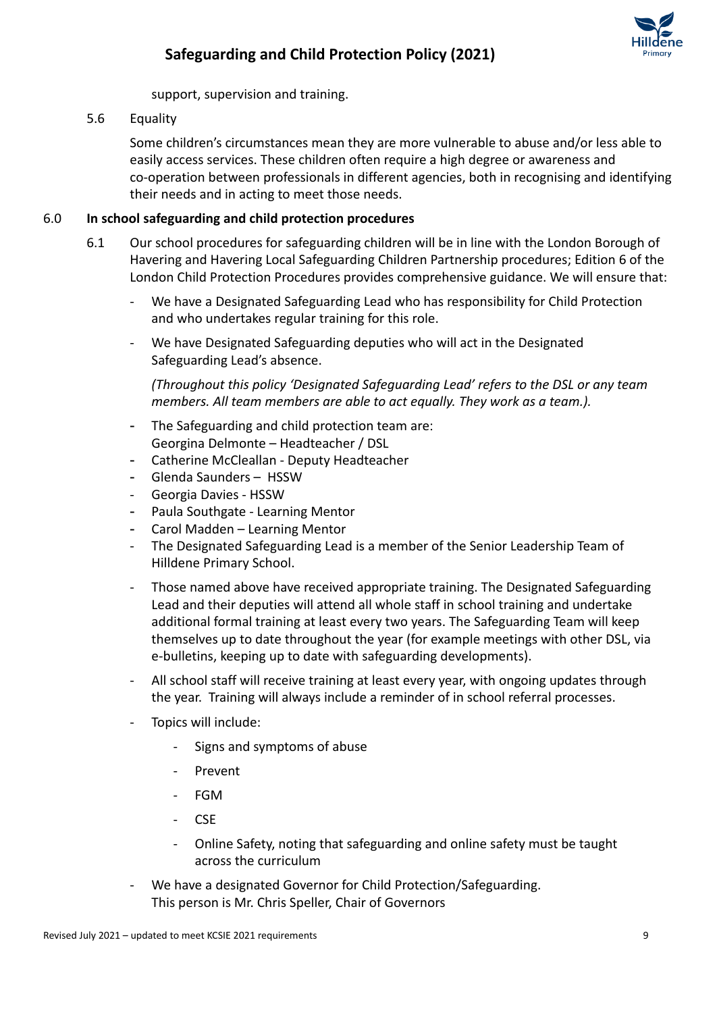support, supervision and training.

5.6 Equality

Some children's circumstances mean they are more vulnerable to abuse and/or less able to easily access services. These children often require a high degree or awareness and co-operation between professionals in different agencies, both in recognising and identifying their needs and in acting to meet those needs.

### 6.0 **In school safeguarding and child protection procedures**

- 6.1 Our school procedures for safeguarding children will be in line with the London Borough of Havering and Havering Local Safeguarding Children Partnership procedures; Edition 6 of the London Child Protection Procedures provides comprehensive guidance. We will ensure that:
	- We have a Designated Safeguarding Lead who has responsibility for Child Protection and who undertakes regular training for this role.
	- We have Designated Safeguarding deputies who will act in the Designated Safeguarding Lead's absence.

*(Throughout this policy 'Designated Safeguarding Lead' refers to the DSL or any team members. All team members are able to act equally. They work as a team.).*

- The Safeguarding and child protection team are: Georgina Delmonte – Headteacher / DSL
- Catherine McCleallan Deputy Headteacher
- Glenda Saunders HSSW
- Georgia Davies HSSW
- Paula Southgate Learning Mentor
- Carol Madden Learning Mentor
- The Designated Safeguarding Lead is a member of the Senior Leadership Team of Hilldene Primary School.
- Those named above have received appropriate training. The Designated Safeguarding Lead and their deputies will attend all whole staff in school training and undertake additional formal training at least every two years. The Safeguarding Team will keep themselves up to date throughout the year (for example meetings with other DSL, via e-bulletins, keeping up to date with safeguarding developments).
- All school staff will receive training at least every year, with ongoing updates through the year. Training will always include a reminder of in school referral processes.
- Topics will include:
	- Signs and symptoms of abuse
	- **Prevent**
	- FGM
	- CSE
	- Online Safety, noting that safeguarding and online safety must be taught across the curriculum
- We have a designated Governor for Child Protection/Safeguarding. This person is Mr. Chris Speller, Chair of Governors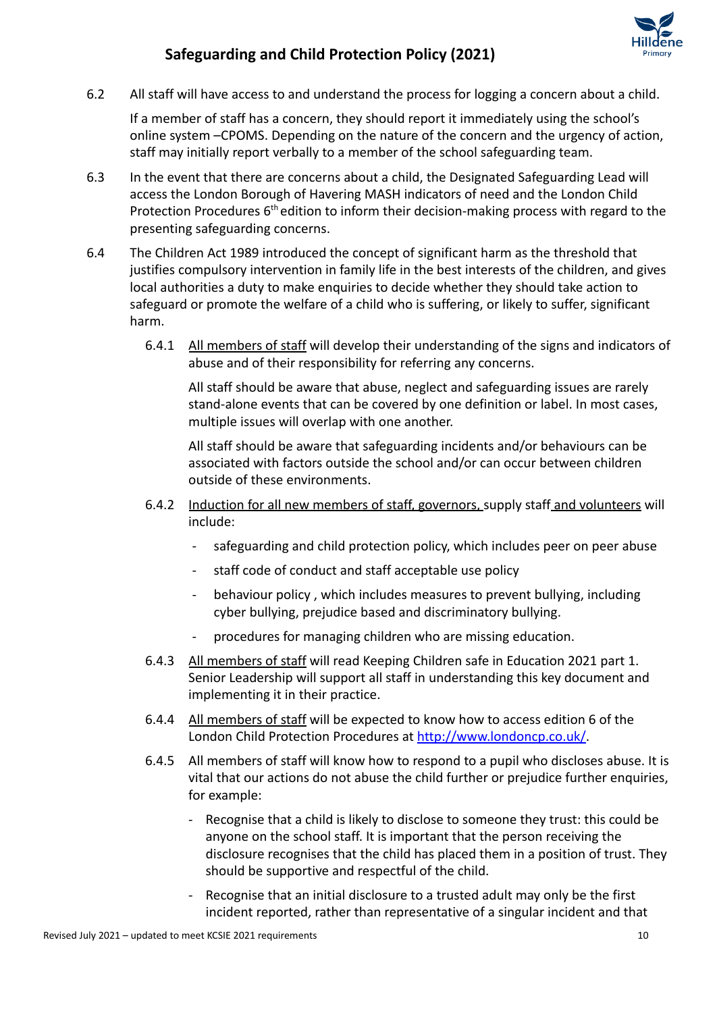

6.2 All staff will have access to and understand the process for logging a concern about a child.

If a member of staff has a concern, they should report it immediately using the school's online system –CPOMS. Depending on the nature of the concern and the urgency of action, staff may initially report verbally to a member of the school safeguarding team.

- 6.3 In the event that there are concerns about a child, the Designated Safeguarding Lead will access the London Borough of Havering MASH indicators of need and the London Child Protection Procedures 6<sup>th</sup> edition to inform their decision-making process with regard to the presenting safeguarding concerns.
- 6.4 The Children Act 1989 introduced the concept of significant harm as the threshold that justifies compulsory intervention in family life in the best interests of the children, and gives local authorities a duty to make enquiries to decide whether they should take action to safeguard or promote the welfare of a child who is suffering, or likely to suffer, significant harm.
	- 6.4.1 All members of staff will develop their understanding of the signs and indicators of abuse and of their responsibility for referring any concerns.

All staff should be aware that abuse, neglect and safeguarding issues are rarely stand-alone events that can be covered by one definition or label. In most cases, multiple issues will overlap with one another.

All staff should be aware that safeguarding incidents and/or behaviours can be associated with factors outside the school and/or can occur between children outside of these environments.

- 6.4.2 Induction for all new members of staff, governors, supply staff and volunteers will include:
	- safeguarding and child protection policy, which includes peer on peer abuse
	- staff code of conduct and staff acceptable use policy
	- behaviour policy, which includes measures to prevent bullying, including cyber bullying, prejudice based and discriminatory bullying.
	- procedures for managing children who are missing education.
- 6.4.3 All members of staff will read Keeping Children safe in Education 2021 part 1. Senior Leadership will support all staff in understanding this key document and implementing it in their practice.
- 6.4.4 All members of staff will be expected to know how to access edition 6 of the London Child Protection Procedures at <http://www.londoncp.co.uk/>.
- 6.4.5 All members of staff will know how to respond to a pupil who discloses abuse. It is vital that our actions do not abuse the child further or prejudice further enquiries, for example:
	- Recognise that a child is likely to disclose to someone they trust: this could be anyone on the school staff. It is important that the person receiving the disclosure recognises that the child has placed them in a position of trust. They should be supportive and respectful of the child.
	- Recognise that an initial disclosure to a trusted adult may only be the first incident reported, rather than representative of a singular incident and that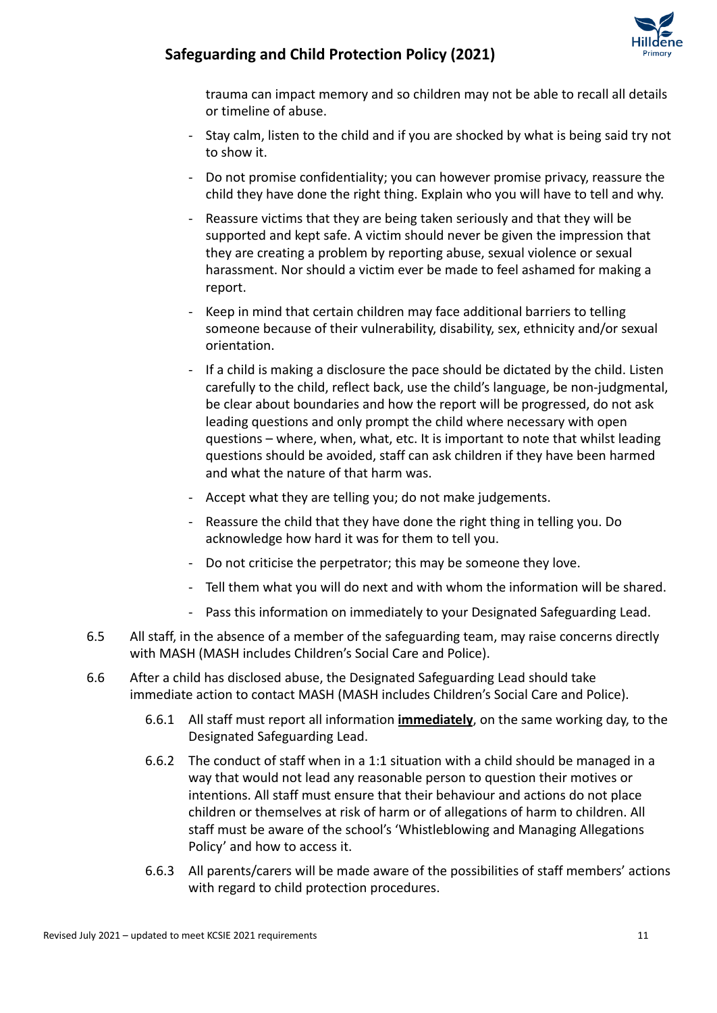

trauma can impact memory and so children may not be able to recall all details or timeline of abuse.

- Stay calm, listen to the child and if you are shocked by what is being said try not to show it.
- Do not promise confidentiality; you can however promise privacy, reassure the child they have done the right thing. Explain who you will have to tell and why.
- Reassure victims that they are being taken seriously and that they will be supported and kept safe. A victim should never be given the impression that they are creating a problem by reporting abuse, sexual violence or sexual harassment. Nor should a victim ever be made to feel ashamed for making a report.
- Keep in mind that certain children may face additional barriers to telling someone because of their vulnerability, disability, sex, ethnicity and/or sexual orientation.
- If a child is making a disclosure the pace should be dictated by the child. Listen carefully to the child, reflect back, use the child's language, be non-judgmental, be clear about boundaries and how the report will be progressed, do not ask leading questions and only prompt the child where necessary with open questions – where, when, what, etc. It is important to note that whilst leading questions should be avoided, staff can ask children if they have been harmed and what the nature of that harm was.
- Accept what they are telling you; do not make judgements.
- Reassure the child that they have done the right thing in telling you. Do acknowledge how hard it was for them to tell you.
- Do not criticise the perpetrator; this may be someone they love.
- Tell them what you will do next and with whom the information will be shared.
- Pass this information on immediately to your Designated Safeguarding Lead.
- 6.5 All staff, in the absence of a member of the safeguarding team, may raise concerns directly with MASH (MASH includes Children's Social Care and Police).
- 6.6 After a child has disclosed abuse, the Designated Safeguarding Lead should take immediate action to contact MASH (MASH includes Children's Social Care and Police).
	- 6.6.1 All staff must report all information **immediately**, on the same working day, to the Designated Safeguarding Lead.
	- 6.6.2 The conduct of staff when in a 1:1 situation with a child should be managed in a way that would not lead any reasonable person to question their motives or intentions. All staff must ensure that their behaviour and actions do not place children or themselves at risk of harm or of allegations of harm to children. All staff must be aware of the school's 'Whistleblowing and Managing Allegations Policy' and how to access it.
	- 6.6.3 All parents/carers will be made aware of the possibilities of staff members' actions with regard to child protection procedures.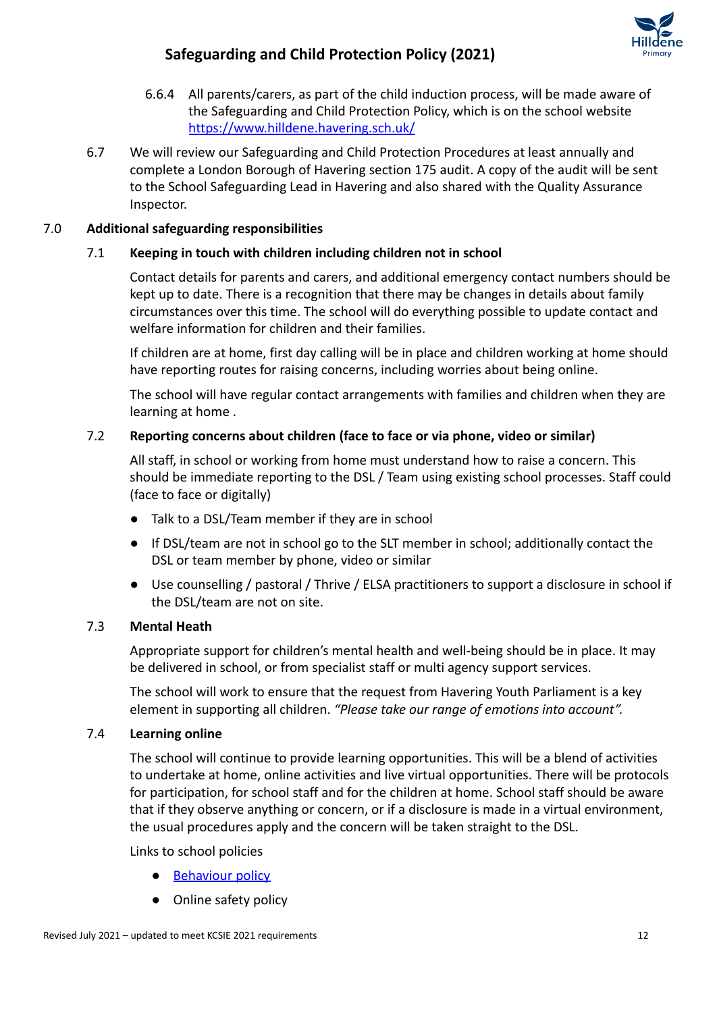

- 6.6.4 All parents/carers, as part of the child induction process, will be made aware of the Safeguarding and Child Protection Policy, which is on the school website <https://www.hilldene.havering.sch.uk/>
- 6.7 We will review our Safeguarding and Child Protection Procedures at least annually and complete a London Borough of Havering section 175 audit. A copy of the audit will be sent to the School Safeguarding Lead in Havering and also shared with the Quality Assurance Inspector.

### 7.0 **Additional safeguarding responsibilities**

### 7.1 **Keeping in touch with children including children not in school**

Contact details for parents and carers, and additional emergency contact numbers should be kept up to date. There is a recognition that there may be changes in details about family circumstances over this time. The school will do everything possible to update contact and welfare information for children and their families.

If children are at home, first day calling will be in place and children working at home should have reporting routes for raising concerns, including worries about being online.

The school will have regular contact arrangements with families and children when they are learning at home .

### 7.2 **Reporting concerns about children (face to face or via phone, video or similar)**

All staff, in school or working from home must understand how to raise a concern. This should be immediate reporting to the DSL / Team using existing school processes. Staff could (face to face or digitally)

- Talk to a DSL/Team member if they are in school
- If DSL/team are not in school go to the SLT member in school; additionally contact the DSL or team member by phone, video or similar
- Use counselling / pastoral / Thrive / ELSA practitioners to support a disclosure in school if the DSL/team are not on site.

### 7.3 **Mental Heath**

Appropriate support for children's mental health and well-being should be in place. It may be delivered in school, or from specialist staff or multi agency support services.

The school will work to ensure that the request from Havering Youth Parliament is a key element in supporting all children. *"Please take our range of emotions into account".*

### 7.4 **Learning online**

The school will continue to provide learning opportunities. This will be a blend of activities to undertake at home, online activities and live virtual opportunities. There will be protocols for participation, for school staff and for the children at home. School staff should be aware that if they observe anything or concern, or if a disclosure is made in a virtual environment, the usual procedures apply and the concern will be taken straight to the DSL.

Links to school policies

- [Behaviour policy](https://www.hilldene.havering.sch.uk/school/policydocs/Behaviour_and_Discipline_Policy.pdf)
- Online safety policy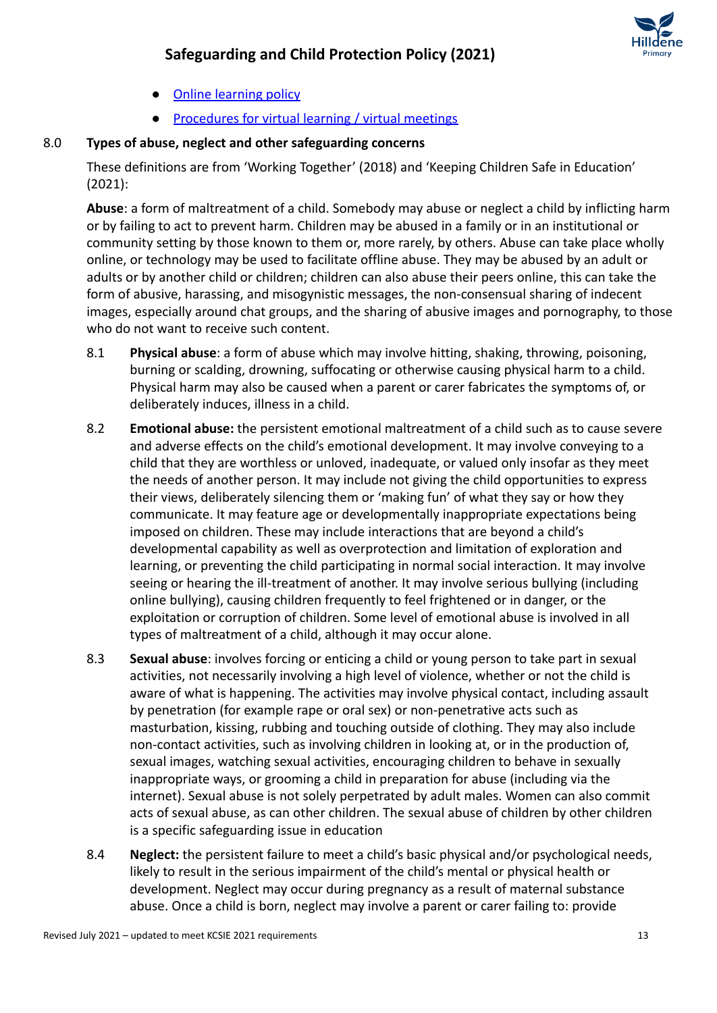

- [Online learning policy](https://docs.google.com/document/d/11mUqx67LchHuHKIt-66KmTu3GJYZL5YY/edit)
- [Procedures for virtual learning / virtual meetings](https://drive.google.com/drive/search?q=google%20meet)

### 8.0 **Types of abuse, neglect and other safeguarding concerns**

These definitions are from 'Working Together' (2018) and 'Keeping Children Safe in Education' (2021):

**Abuse**: a form of maltreatment of a child. Somebody may abuse or neglect a child by inflicting harm or by failing to act to prevent harm. Children may be abused in a family or in an institutional or community setting by those known to them or, more rarely, by others. Abuse can take place wholly online, or technology may be used to facilitate offline abuse. They may be abused by an adult or adults or by another child or children; children can also abuse their peers online, this can take the form of abusive, harassing, and misogynistic messages, the non-consensual sharing of indecent images, especially around chat groups, and the sharing of abusive images and pornography, to those who do not want to receive such content.

- 8.1 **Physical abuse**: a form of abuse which may involve hitting, shaking, throwing, poisoning, burning or scalding, drowning, suffocating or otherwise causing physical harm to a child. Physical harm may also be caused when a parent or carer fabricates the symptoms of, or deliberately induces, illness in a child.
- 8.2 **Emotional abuse:** the persistent emotional maltreatment of a child such as to cause severe and adverse effects on the child's emotional development. It may involve conveying to a child that they are worthless or unloved, inadequate, or valued only insofar as they meet the needs of another person. It may include not giving the child opportunities to express their views, deliberately silencing them or 'making fun' of what they say or how they communicate. It may feature age or developmentally inappropriate expectations being imposed on children. These may include interactions that are beyond a child's developmental capability as well as overprotection and limitation of exploration and learning, or preventing the child participating in normal social interaction. It may involve seeing or hearing the ill-treatment of another. It may involve serious bullying (including online bullying), causing children frequently to feel frightened or in danger, or the exploitation or corruption of children. Some level of emotional abuse is involved in all types of maltreatment of a child, although it may occur alone.
- 8.3 **Sexual abuse**: involves forcing or enticing a child or young person to take part in sexual activities, not necessarily involving a high level of violence, whether or not the child is aware of what is happening. The activities may involve physical contact, including assault by penetration (for example rape or oral sex) or non-penetrative acts such as masturbation, kissing, rubbing and touching outside of clothing. They may also include non-contact activities, such as involving children in looking at, or in the production of, sexual images, watching sexual activities, encouraging children to behave in sexually inappropriate ways, or grooming a child in preparation for abuse (including via the internet). Sexual abuse is not solely perpetrated by adult males. Women can also commit acts of sexual abuse, as can other children. The sexual abuse of children by other children is a specific safeguarding issue in education
- 8.4 **Neglect:** the persistent failure to meet a child's basic physical and/or psychological needs, likely to result in the serious impairment of the child's mental or physical health or development. Neglect may occur during pregnancy as a result of maternal substance abuse. Once a child is born, neglect may involve a parent or carer failing to: provide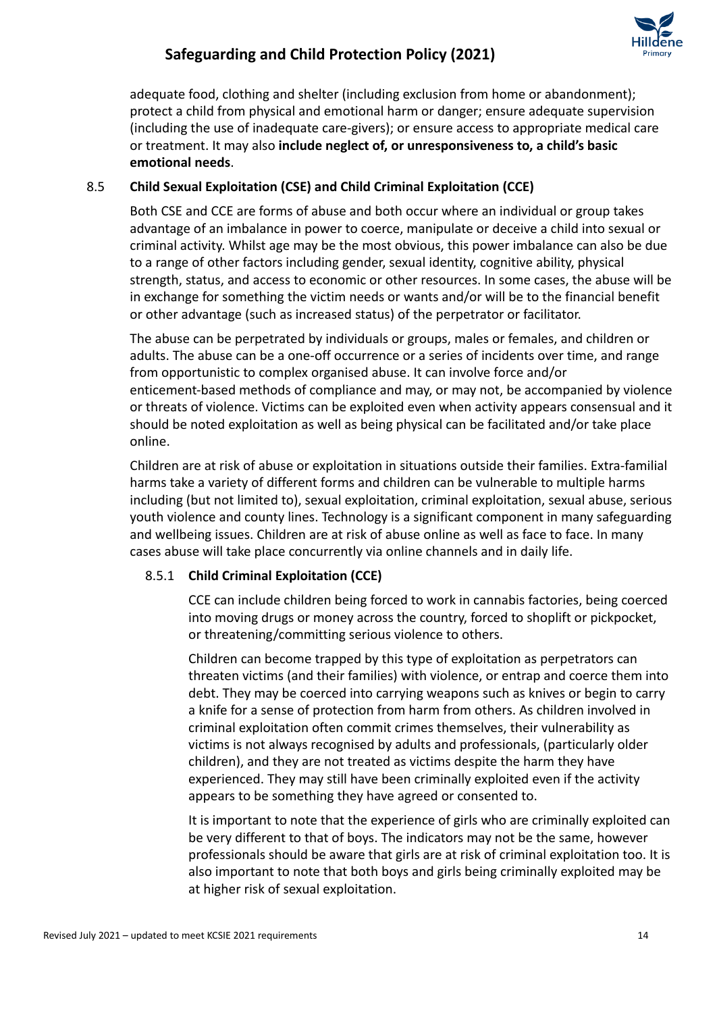adequate food, clothing and shelter (including exclusion from home or abandonment); protect a child from physical and emotional harm or danger; ensure adequate supervision (including the use of inadequate care-givers); or ensure access to appropriate medical care or treatment. It may also **include neglect of, or unresponsiveness to, a child's basic emotional needs**.

### 8.5 **Child Sexual Exploitation (CSE) and Child Criminal Exploitation (CCE)**

Both CSE and CCE are forms of abuse and both occur where an individual or group takes advantage of an imbalance in power to coerce, manipulate or deceive a child into sexual or criminal activity. Whilst age may be the most obvious, this power imbalance can also be due to a range of other factors including gender, sexual identity, cognitive ability, physical strength, status, and access to economic or other resources. In some cases, the abuse will be in exchange for something the victim needs or wants and/or will be to the financial benefit or other advantage (such as increased status) of the perpetrator or facilitator.

The abuse can be perpetrated by individuals or groups, males or females, and children or adults. The abuse can be a one-off occurrence or a series of incidents over time, and range from opportunistic to complex organised abuse. It can involve force and/or enticement-based methods of compliance and may, or may not, be accompanied by violence or threats of violence. Victims can be exploited even when activity appears consensual and it should be noted exploitation as well as being physical can be facilitated and/or take place online.

Children are at risk of abuse or exploitation in situations outside their families. Extra-familial harms take a variety of different forms and children can be vulnerable to multiple harms including (but not limited to), sexual exploitation, criminal exploitation, sexual abuse, serious youth violence and county lines. Technology is a significant component in many safeguarding and wellbeing issues. Children are at risk of abuse online as well as face to face. In many cases abuse will take place concurrently via online channels and in daily life.

### 8.5.1 **Child Criminal Exploitation (CCE)**

CCE can include children being forced to work in cannabis factories, being coerced into moving drugs or money across the country, forced to shoplift or pickpocket, or threatening/committing serious violence to others.

Children can become trapped by this type of exploitation as perpetrators can threaten victims (and their families) with violence, or entrap and coerce them into debt. They may be coerced into carrying weapons such as knives or begin to carry a knife for a sense of protection from harm from others. As children involved in criminal exploitation often commit crimes themselves, their vulnerability as victims is not always recognised by adults and professionals, (particularly older children), and they are not treated as victims despite the harm they have experienced. They may still have been criminally exploited even if the activity appears to be something they have agreed or consented to.

It is important to note that the experience of girls who are criminally exploited can be very different to that of boys. The indicators may not be the same, however professionals should be aware that girls are at risk of criminal exploitation too. It is also important to note that both boys and girls being criminally exploited may be at higher risk of sexual exploitation.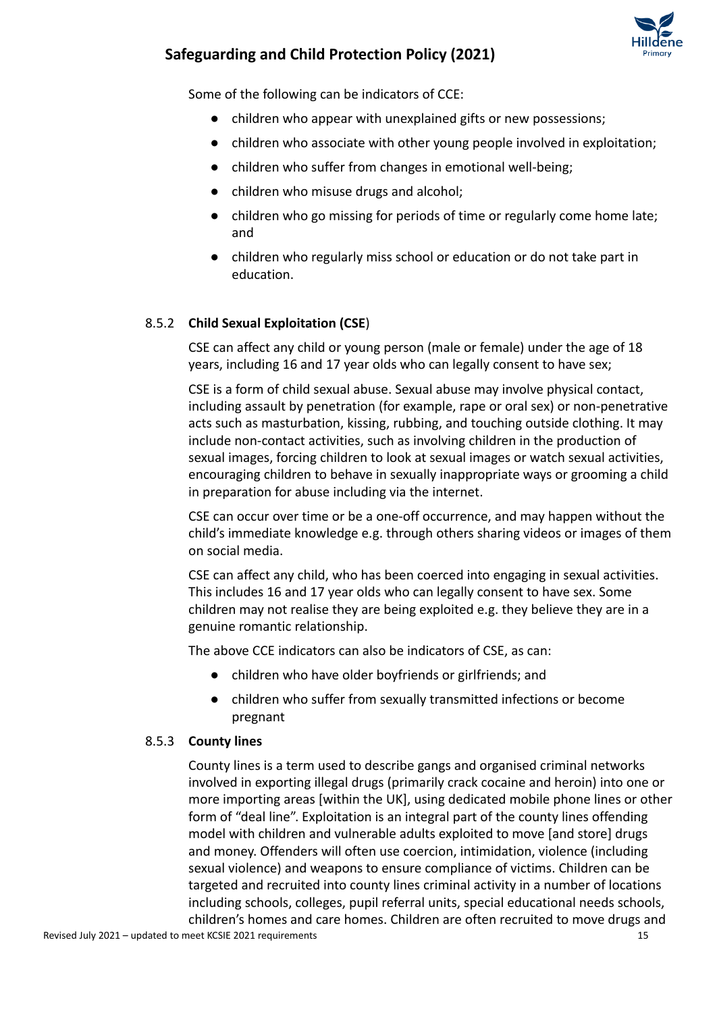

Some of the following can be indicators of CCE:

- children who appear with unexplained gifts or new possessions;
- children who associate with other young people involved in exploitation;
- children who suffer from changes in emotional well-being;
- children who misuse drugs and alcohol;
- children who go missing for periods of time or regularly come home late; and
- children who regularly miss school or education or do not take part in education.

### 8.5.2 **Child Sexual Exploitation (CSE**)

CSE can affect any child or young person (male or female) under the age of 18 years, including 16 and 17 year olds who can legally consent to have sex;

CSE is a form of child sexual abuse. Sexual abuse may involve physical contact, including assault by penetration (for example, rape or oral sex) or non-penetrative acts such as masturbation, kissing, rubbing, and touching outside clothing. It may include non-contact activities, such as involving children in the production of sexual images, forcing children to look at sexual images or watch sexual activities, encouraging children to behave in sexually inappropriate ways or grooming a child in preparation for abuse including via the internet.

CSE can occur over time or be a one-off occurrence, and may happen without the child's immediate knowledge e.g. through others sharing videos or images of them on social media.

CSE can affect any child, who has been coerced into engaging in sexual activities. This includes 16 and 17 year olds who can legally consent to have sex. Some children may not realise they are being exploited e.g. they believe they are in a genuine romantic relationship.

The above CCE indicators can also be indicators of CSE, as can:

- children who have older boyfriends or girlfriends; and
- children who suffer from sexually transmitted infections or become pregnant

#### 8.5.3 **County lines**

County lines is a term used to describe gangs and organised criminal networks involved in exporting illegal drugs (primarily crack cocaine and heroin) into one or more importing areas [within the UK], using dedicated mobile phone lines or other form of "deal line". Exploitation is an integral part of the county lines offending model with children and vulnerable adults exploited to move [and store] drugs and money. Offenders will often use coercion, intimidation, violence (including sexual violence) and weapons to ensure compliance of victims. Children can be targeted and recruited into county lines criminal activity in a number of locations including schools, colleges, pupil referral units, special educational needs schools, children's homes and care homes. Children are often recruited to move drugs and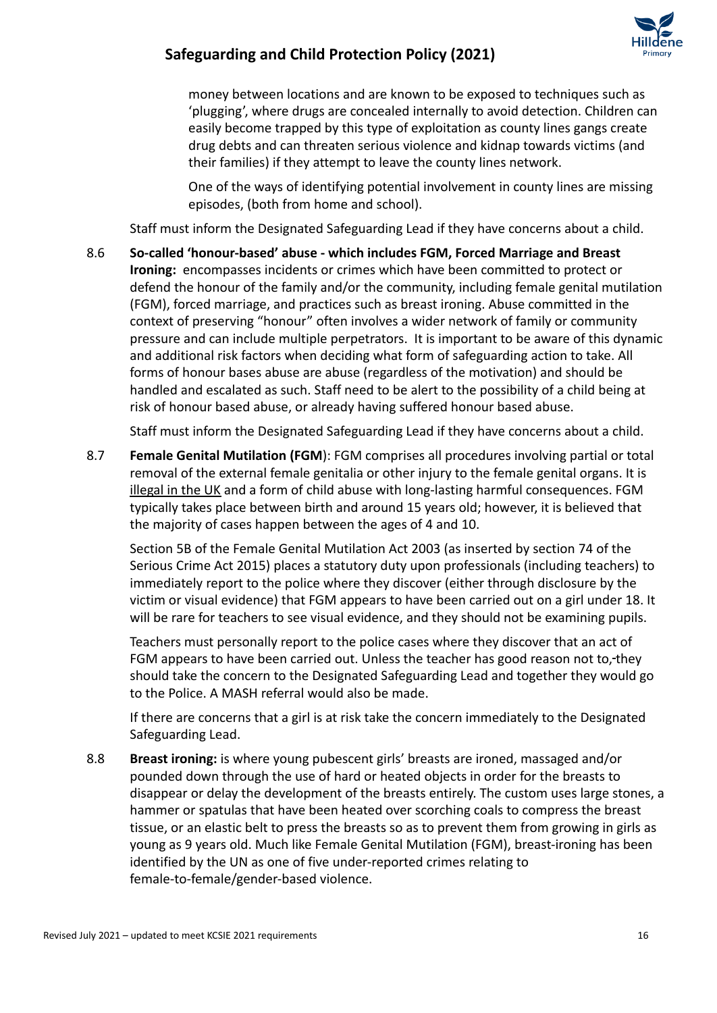

money between locations and are known to be exposed to techniques such as 'plugging', where drugs are concealed internally to avoid detection. Children can easily become trapped by this type of exploitation as county lines gangs create drug debts and can threaten serious violence and kidnap towards victims (and their families) if they attempt to leave the county lines network.

One of the ways of identifying potential involvement in county lines are missing episodes, (both from home and school).

Staff must inform the Designated Safeguarding Lead if they have concerns about a child.

8.6 **So-called 'honour-based' abuse - which includes FGM, Forced Marriage and Breast Ironing:** encompasses incidents or crimes which have been committed to protect or defend the honour of the family and/or the community, including female genital mutilation (FGM), forced marriage, and practices such as breast ironing. Abuse committed in the context of preserving "honour" often involves a wider network of family or community pressure and can include multiple perpetrators. It is important to be aware of this dynamic and additional risk factors when deciding what form of safeguarding action to take. All forms of honour bases abuse are abuse (regardless of the motivation) and should be handled and escalated as such. Staff need to be alert to the possibility of a child being at risk of honour based abuse, or already having suffered honour based abuse.

Staff must inform the Designated Safeguarding Lead if they have concerns about a child.

8.7 **Female Genital Mutilation (FGM**): FGM comprises all procedures involving partial or total removal of the external female genitalia or other injury to the female genital organs. It is illegal in the UK and a form of child abuse with long-lasting harmful consequences. FGM typically takes place between birth and around 15 years old; however, it is believed that the majority of cases happen between the ages of 4 and 10.

Section 5B of the Female Genital Mutilation Act 2003 (as inserted by section 74 of the Serious Crime Act 2015) places a statutory duty upon professionals (including teachers) to immediately report to the police where they discover (either through disclosure by the victim or visual evidence) that FGM appears to have been carried out on a girl under 18. It will be rare for teachers to see visual evidence, and they should not be examining pupils.

Teachers must personally report to the police cases where they discover that an act of FGM appears to have been carried out. Unless the teacher has good reason not to, they should take the concern to the Designated Safeguarding Lead and together they would go to the Police. A MASH referral would also be made.

If there are concerns that a girl is at risk take the concern immediately to the Designated Safeguarding Lead.

8.8 **Breast ironing:** is where young pubescent girls' breasts are ironed, massaged and/or pounded down through the use of hard or heated objects in order for the breasts to disappear or delay the development of the breasts entirely. The custom uses large stones, a hammer or spatulas that have been heated over scorching coals to compress the breast tissue, or an elastic belt to press the breasts so as to prevent them from growing in girls as young as 9 years old. Much like Female Genital Mutilation (FGM), breast-ironing has been identified by the UN as one of five under-reported crimes relating to female-to-female/gender-based violence.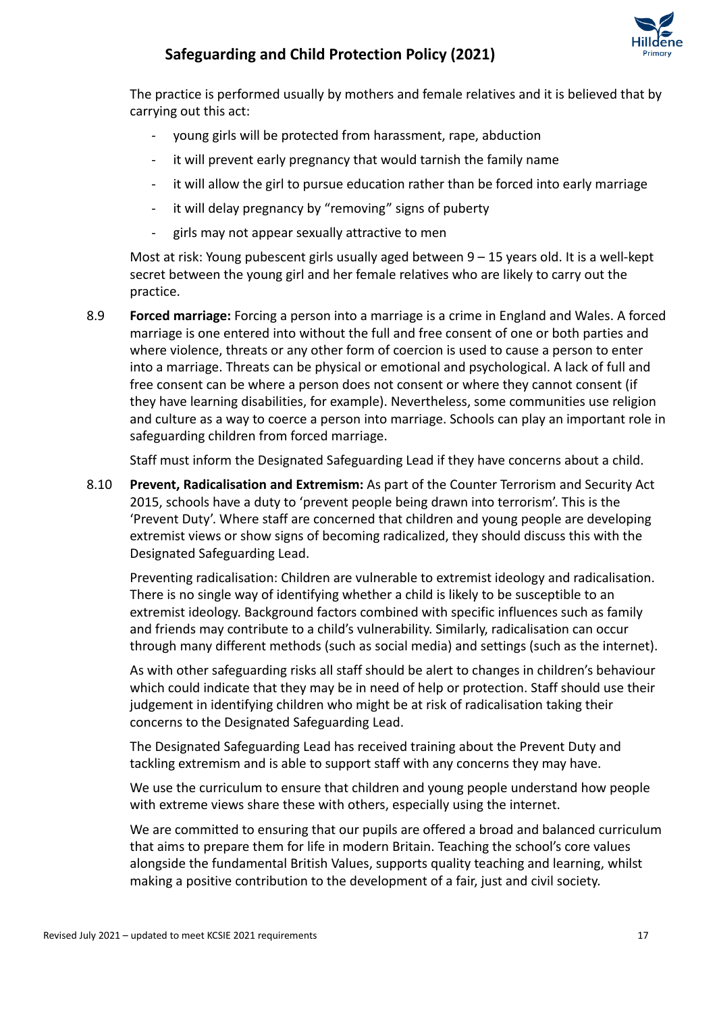

The practice is performed usually by mothers and female relatives and it is believed that by carrying out this act:

- young girls will be protected from harassment, rape, abduction
- it will prevent early pregnancy that would tarnish the family name
- it will allow the girl to pursue education rather than be forced into early marriage
- it will delay pregnancy by "removing" signs of puberty
- girls may not appear sexually attractive to men

Most at risk: Young pubescent girls usually aged between 9 – 15 years old. It is a well-kept secret between the young girl and her female relatives who are likely to carry out the practice.

8.9 **Forced marriage:** Forcing a person into a marriage is a crime in England and Wales. A forced marriage is one entered into without the full and free consent of one or both parties and where violence, threats or any other form of coercion is used to cause a person to enter into a marriage. Threats can be physical or emotional and psychological. A lack of full and free consent can be where a person does not consent or where they cannot consent (if they have learning disabilities, for example). Nevertheless, some communities use religion and culture as a way to coerce a person into marriage. Schools can play an important role in safeguarding children from forced marriage.

Staff must inform the Designated Safeguarding Lead if they have concerns about a child.

8.10 **Prevent, Radicalisation and Extremism:** As part of the Counter Terrorism and Security Act 2015, schools have a duty to 'prevent people being drawn into terrorism'. This is the 'Prevent Duty'. Where staff are concerned that children and young people are developing extremist views or show signs of becoming radicalized, they should discuss this with the Designated Safeguarding Lead.

Preventing radicalisation: Children are vulnerable to extremist ideology and radicalisation. There is no single way of identifying whether a child is likely to be susceptible to an extremist ideology. Background factors combined with specific influences such as family and friends may contribute to a child's vulnerability. Similarly, radicalisation can occur through many different methods (such as social media) and settings (such as the internet).

As with other safeguarding risks all staff should be alert to changes in children's behaviour which could indicate that they may be in need of help or protection. Staff should use their judgement in identifying children who might be at risk of radicalisation taking their concerns to the Designated Safeguarding Lead.

The Designated Safeguarding Lead has received training about the Prevent Duty and tackling extremism and is able to support staff with any concerns they may have.

We use the curriculum to ensure that children and young people understand how people with extreme views share these with others, especially using the internet.

We are committed to ensuring that our pupils are offered a broad and balanced curriculum that aims to prepare them for life in modern Britain. Teaching the school's core values alongside the fundamental British Values, supports quality teaching and learning, whilst making a positive contribution to the development of a fair, just and civil society.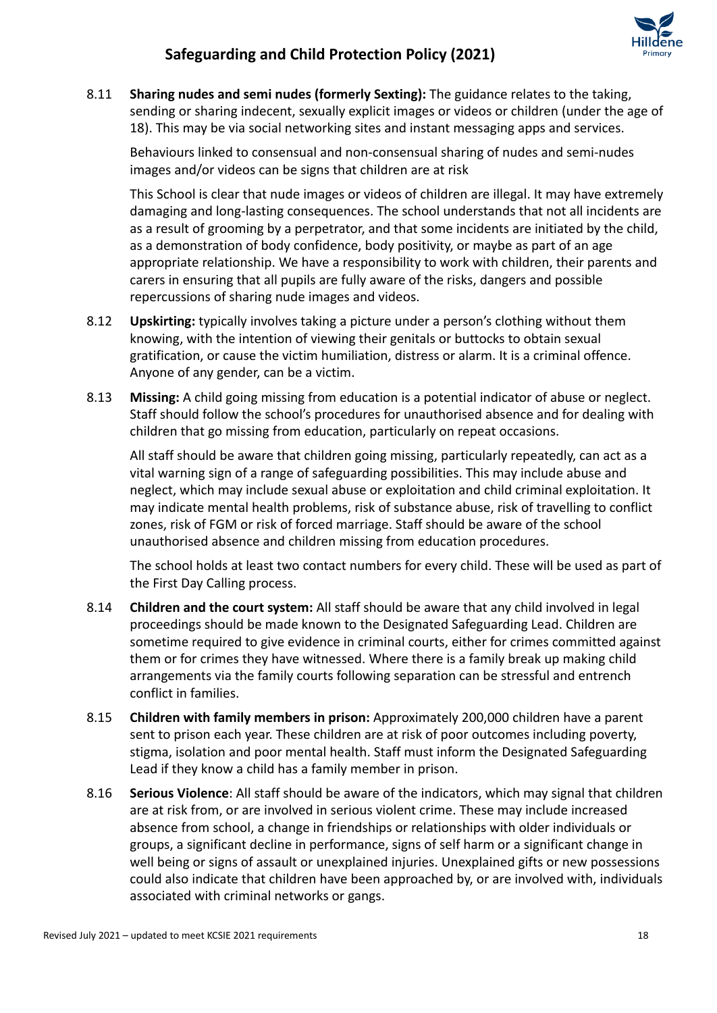

8.11 **Sharing nudes and semi nudes (formerly Sexting):** The guidance relates to the taking, sending or sharing indecent, sexually explicit images or videos or children (under the age of 18). This may be via social networking sites and instant messaging apps and services.

Behaviours linked to consensual and non-consensual sharing of nudes and semi-nudes images and/or videos can be signs that children are at risk

This School is clear that nude images or videos of children are illegal. It may have extremely damaging and long-lasting consequences. The school understands that not all incidents are as a result of grooming by a perpetrator, and that some incidents are initiated by the child, as a demonstration of body confidence, body positivity, or maybe as part of an age appropriate relationship. We have a responsibility to work with children, their parents and carers in ensuring that all pupils are fully aware of the risks, dangers and possible repercussions of sharing nude images and videos.

- 8.12 **Upskirting:** typically involves taking a picture under a person's clothing without them knowing, with the intention of viewing their genitals or buttocks to obtain sexual gratification, or cause the victim humiliation, distress or alarm. It is a criminal offence. Anyone of any gender, can be a victim.
- 8.13 **Missing:** A child going missing from education is a potential indicator of abuse or neglect. Staff should follow the school's procedures for unauthorised absence and for dealing with children that go missing from education, particularly on repeat occasions.

All staff should be aware that children going missing, particularly repeatedly, can act as a vital warning sign of a range of safeguarding possibilities. This may include abuse and neglect, which may include sexual abuse or exploitation and child criminal exploitation. It may indicate mental health problems, risk of substance abuse, risk of travelling to conflict zones, risk of FGM or risk of forced marriage. Staff should be aware of the school unauthorised absence and children missing from education procedures.

The school holds at least two contact numbers for every child. These will be used as part of the First Day Calling process.

- 8.14 **Children and the court system:** All staff should be aware that any child involved in legal proceedings should be made known to the Designated Safeguarding Lead. Children are sometime required to give evidence in criminal courts, either for crimes committed against them or for crimes they have witnessed. Where there is a family break up making child arrangements via the family courts following separation can be stressful and entrench conflict in families.
- 8.15 **Children with family members in prison:** Approximately 200,000 children have a parent sent to prison each year. These children are at risk of poor outcomes including poverty, stigma, isolation and poor mental health. Staff must inform the Designated Safeguarding Lead if they know a child has a family member in prison.
- 8.16 **Serious Violence**: All staff should be aware of the indicators, which may signal that children are at risk from, or are involved in serious violent crime. These may include increased absence from school, a change in friendships or relationships with older individuals or groups, a significant decline in performance, signs of self harm or a significant change in well being or signs of assault or unexplained injuries. Unexplained gifts or new possessions could also indicate that children have been approached by, or are involved with, individuals associated with criminal networks or gangs.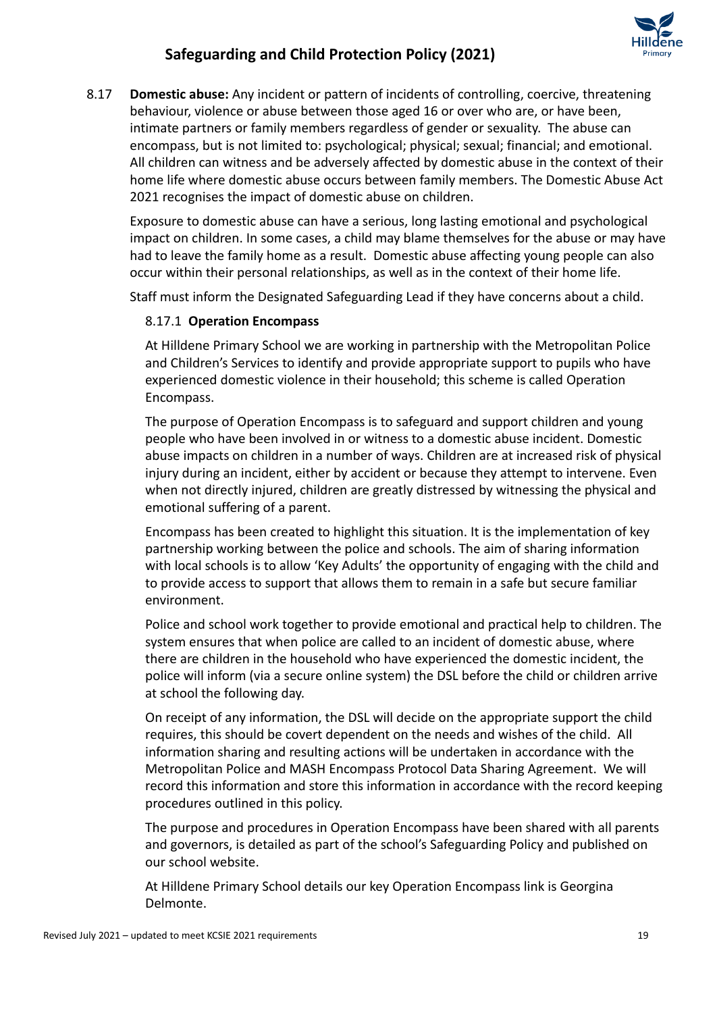

8.17 **Domestic abuse:** Any incident or pattern of incidents of controlling, coercive, threatening behaviour, violence or abuse between those aged 16 or over who are, or have been, intimate partners or family members regardless of gender or sexuality. The abuse can encompass, but is not limited to: psychological; physical; sexual; financial; and emotional. All children can witness and be adversely affected by domestic abuse in the context of their home life where domestic abuse occurs between family members. The Domestic Abuse Act 2021 recognises the impact of domestic abuse on children.

Exposure to domestic abuse can have a serious, long lasting emotional and psychological impact on children. In some cases, a child may blame themselves for the abuse or may have had to leave the family home as a result. Domestic abuse affecting young people can also occur within their personal relationships, as well as in the context of their home life.

Staff must inform the Designated Safeguarding Lead if they have concerns about a child.

### 8.17.1 **Operation Encompass**

At Hilldene Primary School we are working in partnership with the Metropolitan Police and Children's Services to identify and provide appropriate support to pupils who have experienced domestic violence in their household; this scheme is called Operation Encompass.

The purpose of Operation Encompass is to safeguard and support children and young people who have been involved in or witness to a domestic abuse incident. Domestic abuse impacts on children in a number of ways. Children are at increased risk of physical injury during an incident, either by accident or because they attempt to intervene. Even when not directly injured, children are greatly distressed by witnessing the physical and emotional suffering of a parent.

Encompass has been created to highlight this situation. It is the implementation of key partnership working between the police and schools. The aim of sharing information with local schools is to allow 'Key Adults' the opportunity of engaging with the child and to provide access to support that allows them to remain in a safe but secure familiar environment.

Police and school work together to provide emotional and practical help to children. The system ensures that when police are called to an incident of domestic abuse, where there are children in the household who have experienced the domestic incident, the police will inform (via a secure online system) the DSL before the child or children arrive at school the following day.

On receipt of any information, the DSL will decide on the appropriate support the child requires, this should be covert dependent on the needs and wishes of the child. All information sharing and resulting actions will be undertaken in accordance with the Metropolitan Police and MASH Encompass Protocol Data Sharing Agreement. We will record this information and store this information in accordance with the record keeping procedures outlined in this policy.

The purpose and procedures in Operation Encompass have been shared with all parents and governors, is detailed as part of the school's Safeguarding Policy and published on our school website.

At Hilldene Primary School details our key Operation Encompass link is Georgina Delmonte.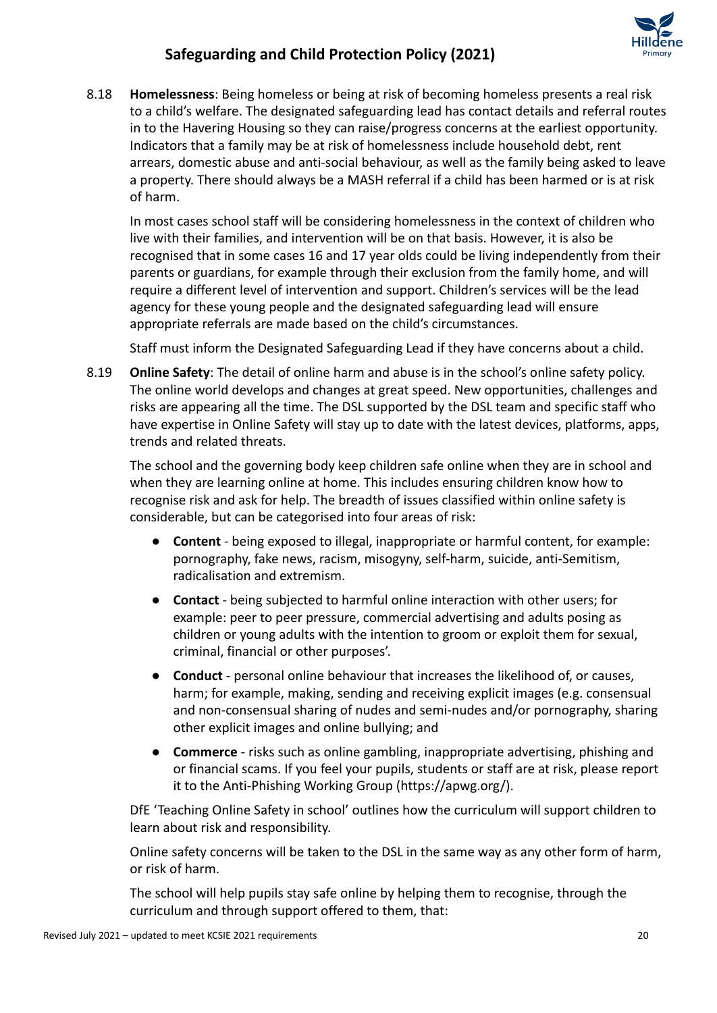

8.18 **Homelessness**: Being homeless or being at risk of becoming homeless presents a real risk to a child's welfare. The designated safeguarding lead has contact details and referral routes in to the Havering Housing so they can raise/progress concerns at the earliest opportunity. Indicators that a family may be at risk of homelessness include household debt, rent arrears, domestic abuse and anti-social behaviour, as well as the family being asked to leave a property. There should always be a MASH referral if a child has been harmed or is at risk of harm.

In most cases school staff will be considering homelessness in the context of children who live with their families, and intervention will be on that basis. However, it is also be recognised that in some cases 16 and 17 year olds could be living independently from their parents or guardians, for example through their exclusion from the family home, and will require a different level of intervention and support. Children's services will be the lead agency for these young people and the designated safeguarding lead will ensure appropriate referrals are made based on the child's circumstances.

Staff must inform the Designated Safeguarding Lead if they have concerns about a child.

8.19 **Online Safety**: The detail of online harm and abuse is in the school's online safety policy. The online world develops and changes at great speed. New opportunities, challenges and risks are appearing all the time. The DSL supported by the DSL team and specific staff who have expertise in Online Safety will stay up to date with the latest devices, platforms, apps, trends and related threats.

The school and the governing body keep children safe online when they are in school and when they are learning online at home. This includes ensuring children know how to recognise risk and ask for help. The breadth of issues classified within online safety is considerable, but can be categorised into four areas of risk:

- **Content** being exposed to illegal, inappropriate or harmful content, for example: pornography, fake news, racism, misogyny, self-harm, suicide, anti-Semitism, radicalisation and extremism.
- **Contact** being subjected to harmful online interaction with other users; for example: peer to peer pressure, commercial advertising and adults posing as children or young adults with the intention to groom or exploit them for sexual, criminal, financial or other purposes'.
- **Conduct** personal online behaviour that increases the likelihood of, or causes, harm; for example, making, sending and receiving explicit images (e.g. consensual and non-consensual sharing of nudes and semi-nudes and/or pornography, sharing other explicit images and online bullying; and
- **Commerce** risks such as online gambling, inappropriate advertising, phishing and or financial scams. If you feel your pupils, students or staff are at risk, please report it to the Anti-Phishing Working Group [\(https://apwg.org/\)](https://apwg.org/).

DfE 'Teaching Online Safety in school' outlines how the curriculum will support children to learn about risk and responsibility.

Online safety concerns will be taken to the DSL in the same way as any other form of harm, or risk of harm.

The school will help pupils stay safe online by helping them to recognise, through the curriculum and through support offered to them, that: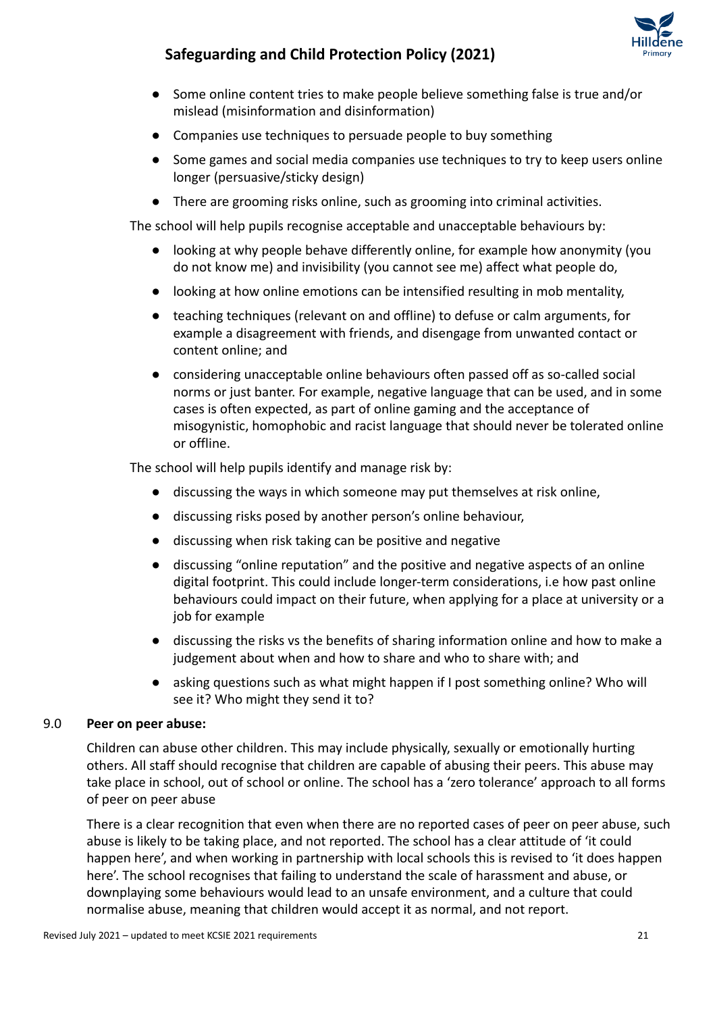

- Some online content tries to make people believe something false is true and/or mislead (misinformation and disinformation)
- Companies use techniques to persuade people to buy something
- Some games and social media companies use techniques to try to keep users online longer (persuasive/sticky design)
- There are grooming risks online, such as grooming into criminal activities.

The school will help pupils recognise acceptable and unacceptable behaviours by:

- looking at why people behave differently online, for example how anonymity (you do not know me) and invisibility (you cannot see me) affect what people do,
- looking at how online emotions can be intensified resulting in mob mentality,
- teaching techniques (relevant on and offline) to defuse or calm arguments, for example a disagreement with friends, and disengage from unwanted contact or content online; and
- considering unacceptable online behaviours often passed off as so-called social norms or just banter. For example, negative language that can be used, and in some cases is often expected, as part of online gaming and the acceptance of misogynistic, homophobic and racist language that should never be tolerated online or offline.

The school will help pupils identify and manage risk by:

- discussing the ways in which someone may put themselves at risk online,
- discussing risks posed by another person's online behaviour,
- discussing when risk taking can be positive and negative
- discussing "online reputation" and the positive and negative aspects of an online digital footprint. This could include longer-term considerations, i.e how past online behaviours could impact on their future, when applying for a place at university or a job for example
- discussing the risks vs the benefits of sharing information online and how to make a judgement about when and how to share and who to share with; and
- asking questions such as what might happen if I post something online? Who will see it? Who might they send it to?

#### 9.0 **Peer on peer abuse:**

Children can abuse other children. This may include physically, sexually or emotionally hurting others. All staff should recognise that children are capable of abusing their peers. This abuse may take place in school, out of school or online. The school has a 'zero tolerance' approach to all forms of peer on peer abuse

There is a clear recognition that even when there are no reported cases of peer on peer abuse, such abuse is likely to be taking place, and not reported. The school has a clear attitude of 'it could happen here', and when working in partnership with local schools this is revised to 'it does happen here'. The school recognises that failing to understand the scale of harassment and abuse, or downplaying some behaviours would lead to an unsafe environment, and a culture that could normalise abuse, meaning that children would accept it as normal, and not report.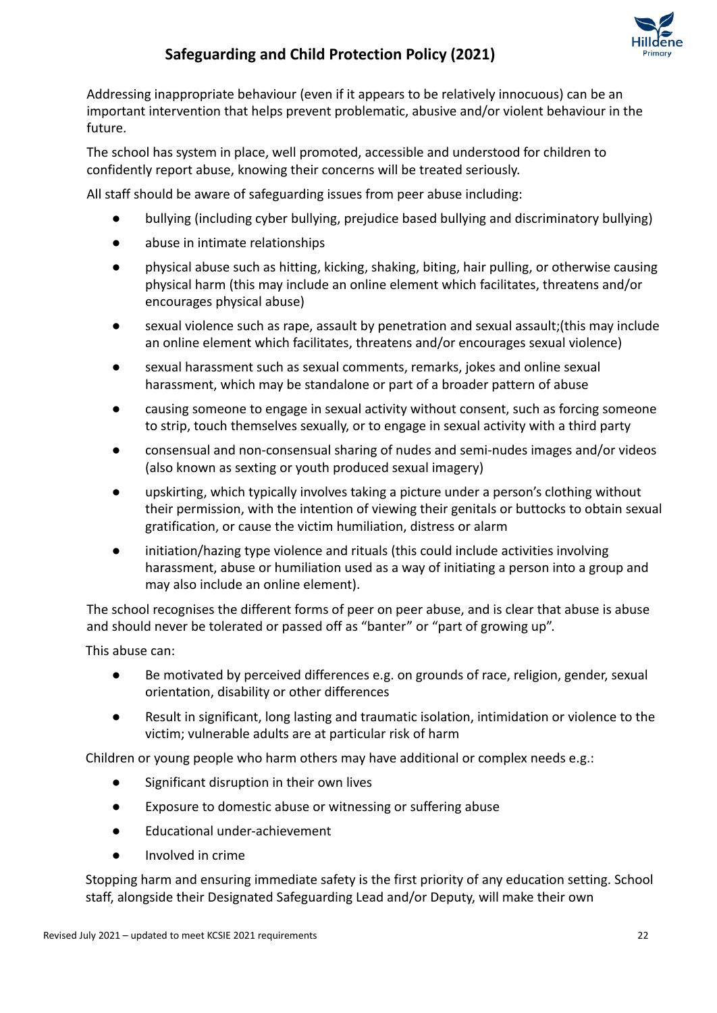

Addressing inappropriate behaviour (even if it appears to be relatively innocuous) can be an important intervention that helps prevent problematic, abusive and/or violent behaviour in the future.

The school has system in place, well promoted, accessible and understood for children to confidently report abuse, knowing their concerns will be treated seriously.

All staff should be aware of safeguarding issues from peer abuse including:

- bullying (including cyber bullying, prejudice based bullying and discriminatory bullying)
- abuse in intimate relationships
- physical abuse such as hitting, kicking, shaking, biting, hair pulling, or otherwise causing physical harm (this may include an online element which facilitates, threatens and/or encourages physical abuse)
- sexual violence such as rape, assault by penetration and sexual assault;(this may include an online element which facilitates, threatens and/or encourages sexual violence)
- sexual harassment such as sexual comments, remarks, jokes and online sexual harassment, which may be standalone or part of a broader pattern of abuse
- causing someone to engage in sexual activity without consent, such as forcing someone to strip, touch themselves sexually, or to engage in sexual activity with a third party
- consensual and non-consensual sharing of nudes and semi-nudes images and/or videos (also known as sexting or youth produced sexual imagery)
- upskirting, which typically involves taking a picture under a person's clothing without their permission, with the intention of viewing their genitals or buttocks to obtain sexual gratification, or cause the victim humiliation, distress or alarm
- initiation/hazing type violence and rituals (this could include activities involving harassment, abuse or humiliation used as a way of initiating a person into a group and may also include an online element).

The school recognises the different forms of peer on peer abuse, and is clear that abuse is abuse and should never be tolerated or passed off as "banter" or "part of growing up".

This abuse can:

- Be motivated by perceived differences e.g. on grounds of race, religion, gender, sexual orientation, disability or other differences
- Result in significant, long lasting and traumatic isolation, intimidation or violence to the victim; vulnerable adults are at particular risk of harm

Children or young people who harm others may have additional or complex needs e.g.:

- Significant disruption in their own lives
- Exposure to domestic abuse or witnessing or suffering abuse
- Educational under-achievement
- Involved in crime

Stopping harm and ensuring immediate safety is the first priority of any education setting. School staff, alongside their Designated Safeguarding Lead and/or Deputy, will make their own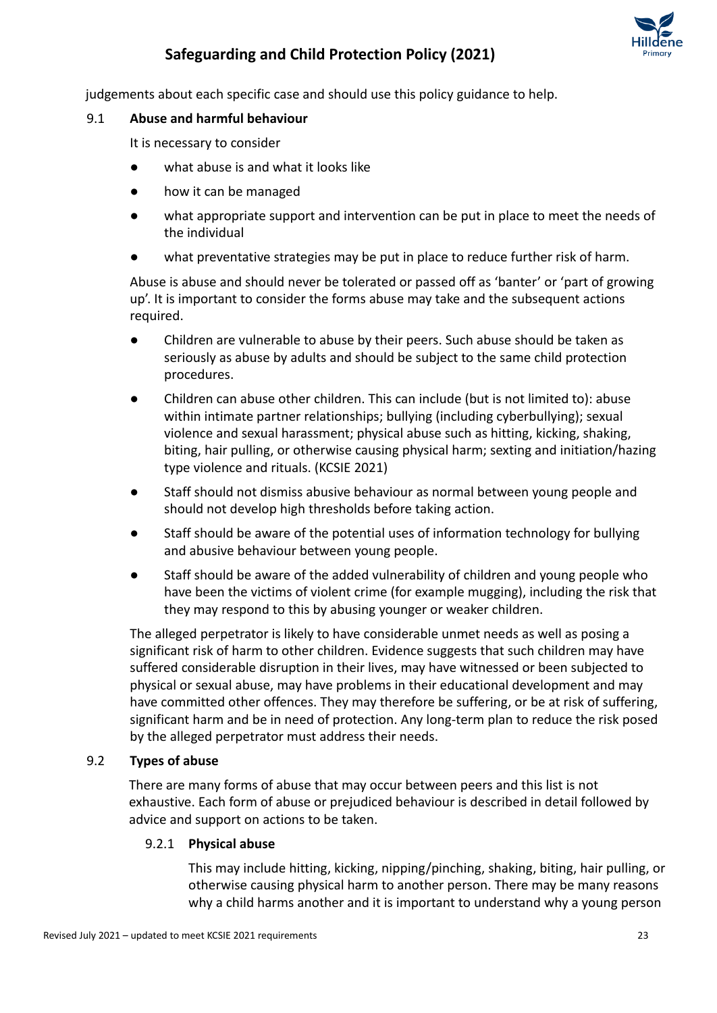

judgements about each specific case and should use this policy guidance to help.

#### 9.1 **Abuse and harmful behaviour**

It is necessary to consider

- what abuse is and what it looks like
- how it can be managed
- what appropriate support and intervention can be put in place to meet the needs of the individual
- what preventative strategies may be put in place to reduce further risk of harm.

Abuse is abuse and should never be tolerated or passed off as 'banter' or 'part of growing up'. It is important to consider the forms abuse may take and the subsequent actions required.

- Children are vulnerable to abuse by their peers. Such abuse should be taken as seriously as abuse by adults and should be subject to the same child protection procedures.
- Children can abuse other children. This can include (but is not limited to): abuse within intimate partner relationships; bullying (including cyberbullying); sexual violence and sexual harassment; physical abuse such as hitting, kicking, shaking, biting, hair pulling, or otherwise causing physical harm; sexting and initiation/hazing type violence and rituals. (KCSIE 2021)
- Staff should not dismiss abusive behaviour as normal between young people and should not develop high thresholds before taking action.
- Staff should be aware of the potential uses of information technology for bullying and abusive behaviour between young people.
- Staff should be aware of the added vulnerability of children and young people who have been the victims of violent crime (for example mugging), including the risk that they may respond to this by abusing younger or weaker children.

The alleged perpetrator is likely to have considerable unmet needs as well as posing a significant risk of harm to other children. Evidence suggests that such children may have suffered considerable disruption in their lives, may have witnessed or been subjected to physical or [sexual abuse,](http://trixresources.proceduresonline.com/nat_key/keywords/sexual_abuse.html) may have problems in their educational development and may have committed other offences. They may therefore be suffering, or be at risk of suffering, [significant harm](http://trixresources.proceduresonline.com/nat_key/keywords/significant_harm.html) and be in need of protection. Any long-term plan to reduce the risk posed by the alleged perpetrator must address their needs.

### 9.2 **Types of abuse**

There are many forms of abuse that may occur between peers and this list is not exhaustive. Each form of abuse or prejudiced behaviour is described in detail followed by advice and support on actions to be taken.

### 9.2.1 **Physical abuse**

This may include hitting, kicking, nipping/pinching, shaking, biting, hair pulling, or otherwise causing physical harm to another person. There may be many reasons why a child harms another and it is important to understand why a young person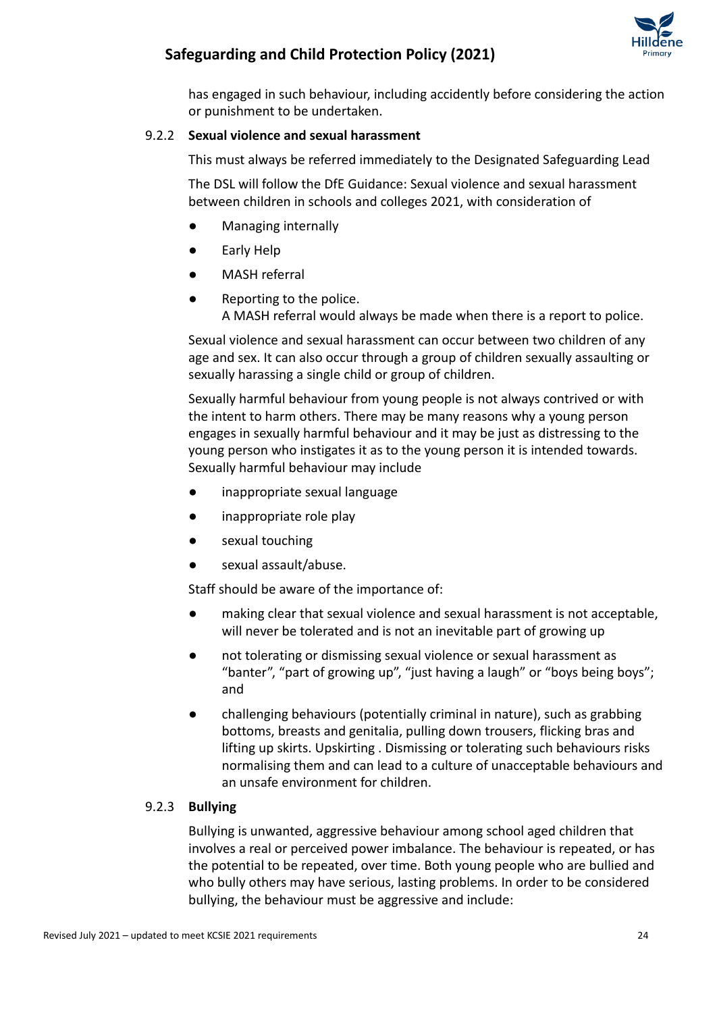

has engaged in such behaviour, including accidently before considering the action or punishment to be undertaken.

### 9.2.2 **Sexual violence and sexual harassment**

This must always be referred immediately to the Designated Safeguarding Lead

The DSL will follow the DfE Guidance: Sexual violence [and sexual harassment](https://www.gov.uk/government/uploads/system/uploads/attachment_data/file/719902/Sexual_violence_and_sexual_harassment_between_children_in_schools_and_colleges.pdf) [between children in schools and colleges](https://www.gov.uk/government/uploads/system/uploads/attachment_data/file/719902/Sexual_violence_and_sexual_harassment_between_children_in_schools_and_colleges.pdf) 2021, with consideration of

- Managing internally
- Early Help
- MASH referral
- Reporting to the police. A MASH referral would always be made when there is a report to police.

Sexual violence and sexual harassment can occur between two children of any age and sex. It can also occur through a group of children sexually assaulting or sexually harassing a single child or group of children.

Sexually harmful behaviour from young people is not always contrived or with the intent to harm others. There may be many reasons why a young person engages in sexually harmful behaviour and it may be just as distressing to the young person who instigates it as to the young person it is intended towards. Sexually harmful behaviour may include

- inappropriate sexual language
- inappropriate role play
- sexual touching
- sexual assault/abuse.

Staff should be aware of the importance of:

- making clear that sexual violence and sexual harassment is not acceptable, will never be tolerated and is not an inevitable part of growing up
- not tolerating or dismissing sexual violence or sexual harassment as "banter", "part of growing up", "just having a laugh" or "boys being boys"; and
- challenging behaviours (potentially criminal in nature), such as grabbing bottoms, breasts and genitalia, pulling down trousers, flicking bras and lifting up skirts. Upskirting . Dismissing or tolerating such behaviours risks normalising them and can lead to a culture of unacceptable behaviours and an unsafe environment for children.

### 9.2.3 **Bullying**

Bullying is unwanted, aggressive behaviour among school aged children that involves a real or perceived power imbalance. The behaviour is repeated, or has the potential to be repeated, over time. Both young people who are bullied and who bully others may have serious, lasting problems. In order to be considered bullying, the behaviour must be aggressive and include: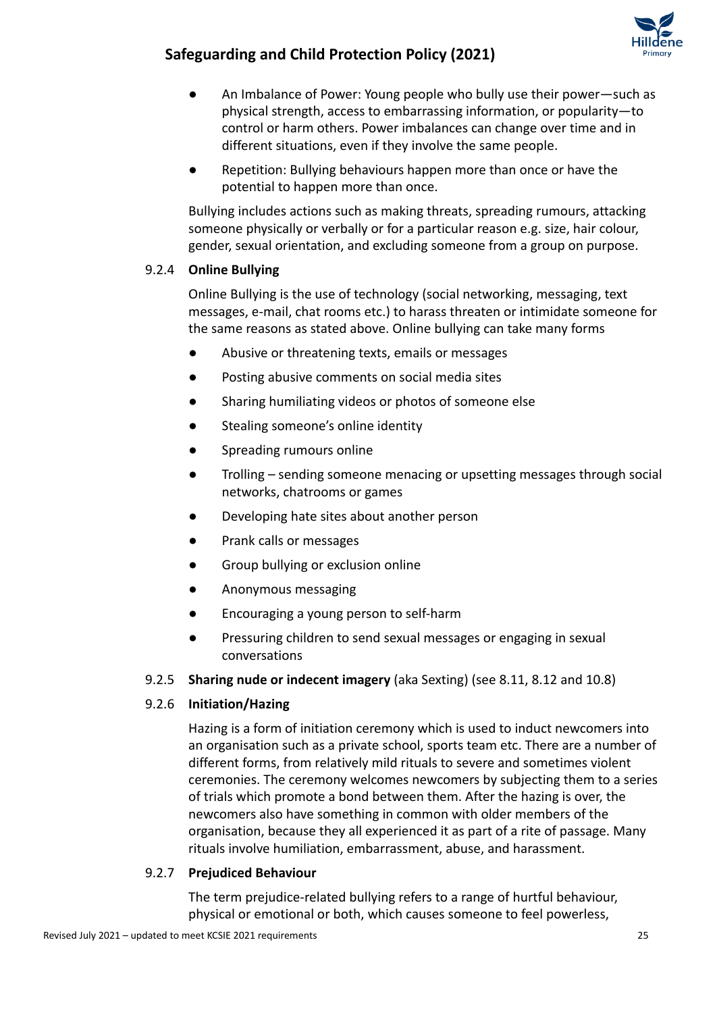

- An Imbalance of Power: Young people who bully use their power—such as physical strength, access to embarrassing information, or popularity—to control or harm others. Power imbalances can change over time and in different situations, even if they involve the same people.
- Repetition: Bullying behaviours happen more than once or have the potential to happen more than once.

Bullying includes actions such as making threats, spreading rumours, attacking someone physically or verbally or for a particular reason e.g. size, hair colour, gender, sexual orientation, and excluding someone from a group on purpose.

### 9.2.4 **Online Bullying**

Online Bullying is the use of technology (social networking, messaging, text messages, e-mail, chat rooms etc.) to harass threaten or intimidate someone for the same reasons as stated above. Online bullying can take many forms

- Abusive or threatening texts, emails or messages
- Posting abusive comments on social media sites
- Sharing humiliating videos or photos of someone else
- Stealing someone's online identity
- Spreading rumours online
- Trolling sending someone menacing or upsetting messages through social networks, chatrooms or games
- Developing hate sites about another person
- Prank calls or messages
- Group bullying or exclusion online
- Anonymous messaging
- Encouraging a young person to self-harm
- Pressuring children to send sexual messages or engaging in sexual conversations
- 9.2.5 **Sharing nude or indecent imagery** (aka Sexting) (see 8.11, 8.12 and 10.8)

### 9.2.6 **Initiation/Hazing**

Hazing is a form of initiation ceremony which is used to induct newcomers into an organisation such as a private school, sports team etc. There are a number of different forms, from relatively mild rituals to severe and sometimes violent ceremonies. The ceremony welcomes newcomers by subjecting them to a series of trials which promote a bond between them. After the hazing is over, the newcomers also have something in common with older members of the organisation, because they all experienced it as part of a rite of passage. Many rituals involve humiliation, embarrassment, abuse, and harassment.

#### 9.2.7 **Prejudiced Behaviour**

The term prejudice-related bullying refers to a range of hurtful behaviour, physical or emotional or both, which causes someone to feel powerless,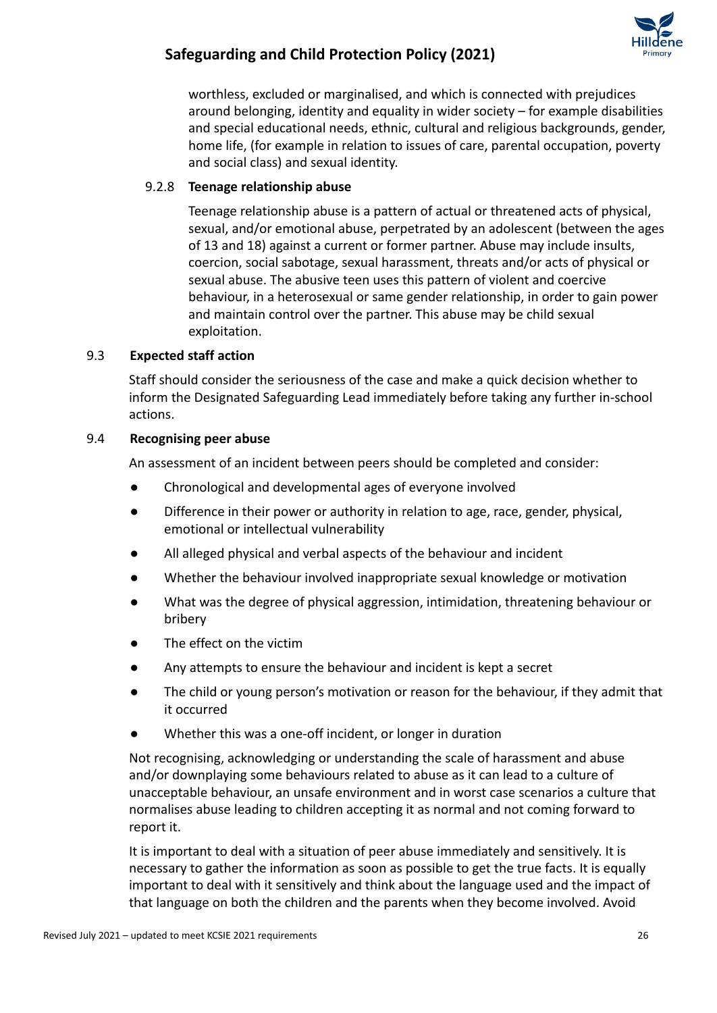

worthless, excluded or marginalised, and which is connected with prejudices around belonging, identity and equality in wider society – for example disabilities and special educational needs, ethnic, cultural and religious backgrounds, gender, home life, (for example in relation to issues of care, parental occupation, poverty and social class) and sexual identity.

### 9.2.8 **Teenage relationship abuse**

Teenage relationship abuse is a pattern of actual or threatened acts of physical, sexual, and/or emotional abuse, perpetrated by an adolescent (between the ages of 13 and 18) against a current or former partner. Abuse may include insults, coercion, social sabotage, sexual harassment, threats and/or acts of physical or sexual abuse. The abusive teen uses this pattern of violent and coercive behaviour, in a heterosexual or same gender relationship, in order to gain power and maintain control over the partner. This abuse may be child sexual exploitation.

### 9.3 **Expected staff action**

Staff should consider the seriousness of the case and make a quick decision whether to inform the Designated Safeguarding Lead immediately before taking any further in-school actions.

#### 9.4 **Recognising peer abuse**

An assessment of an incident between peers should be completed and consider:

- Chronological and developmental ages of everyone involved
- Difference in their power or authority in relation to age, race, gender, physical, emotional or intellectual vulnerability
- All alleged physical and verbal aspects of the behaviour and incident
- Whether the behaviour involved inappropriate sexual knowledge or motivation
- What was the degree of physical aggression, intimidation, threatening behaviour or bribery
- The effect on the victim
- Any attempts to ensure the behaviour and incident is kept a secret
- The child or young person's motivation or reason for the behaviour, if they admit that it occurred
- Whether this was a one-off incident, or longer in duration

Not recognising, acknowledging or understanding the scale of harassment and abuse and/or downplaying some behaviours related to abuse as it can lead to a culture of unacceptable behaviour, an unsafe environment and in worst case scenarios a culture that normalises abuse leading to children accepting it as normal and not coming forward to report it.

It is important to deal with a situation of peer abuse immediately and sensitively. It is necessary to gather the information as soon as possible to get the true facts. It is equally important to deal with it sensitively and think about the language used and the impact of that language on both the children and the parents when they become involved. Avoid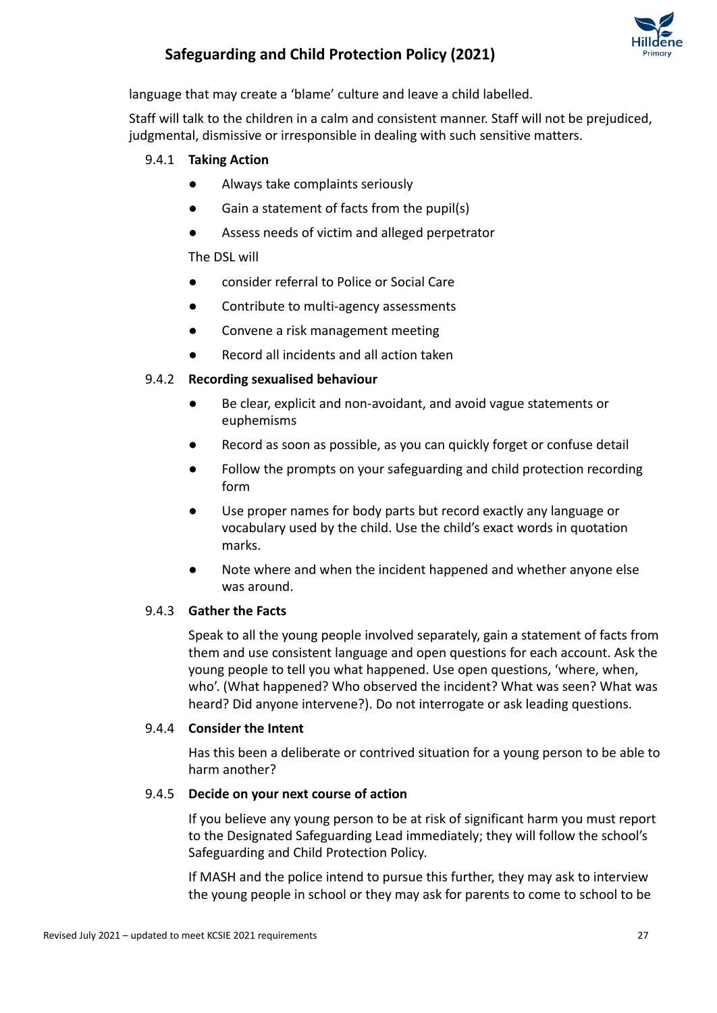

language that may create a 'blame' culture and leave a child labelled.

Staff will talk to the children in a calm and consistent manner. Staff will not be prejudiced, judgmental, dismissive or irresponsible in dealing with such sensitive matters.

### 9.4.1 **Taking Action**

- Always take complaints seriously
- Gain a statement of facts from the pupil(s)
- Assess needs of victim and alleged perpetrator

### The DSL will

- consider referral to Police or Social Care
- Contribute to multi-agency assessments
- Convene a risk management meeting
- Record all incidents and all action taken

### 9.4.2 **Recording sexualised behaviour**

- Be clear, explicit and non-avoidant, and avoid vague statements or euphemisms
- Record as soon as possible, as you can quickly forget or confuse detail
- Follow the prompts on your safeguarding and child protection recording form
- Use proper names for body parts but record exactly any language or vocabulary used by the child. Use the child's exact words in quotation marks.
- Note where and when the incident happened and whether anyone else was around.

#### 9.4.3 **Gather the Facts**

Speak to all the young people involved separately, gain a statement of facts from them and use consistent language and open questions for each account. Ask the young people to tell you what happened. Use open questions, 'where, when, who'. (What happened? Who observed the incident? What was seen? What was heard? Did anyone intervene?). Do not interrogate or ask leading questions.

#### 9.4.4 **Consider the Intent**

Has this been a deliberate or contrived situation for a young person to be able to harm another?

#### 9.4.5 **Decide on your next course of action**

If you believe any young person to be at risk of significant harm you must report to the Designated Safeguarding Lead immediately; they will follow the school's Safeguarding and Child Protection Policy.

If MASH and the police intend to pursue this further, they may ask to interview the young people in school or they may ask for parents to come to school to be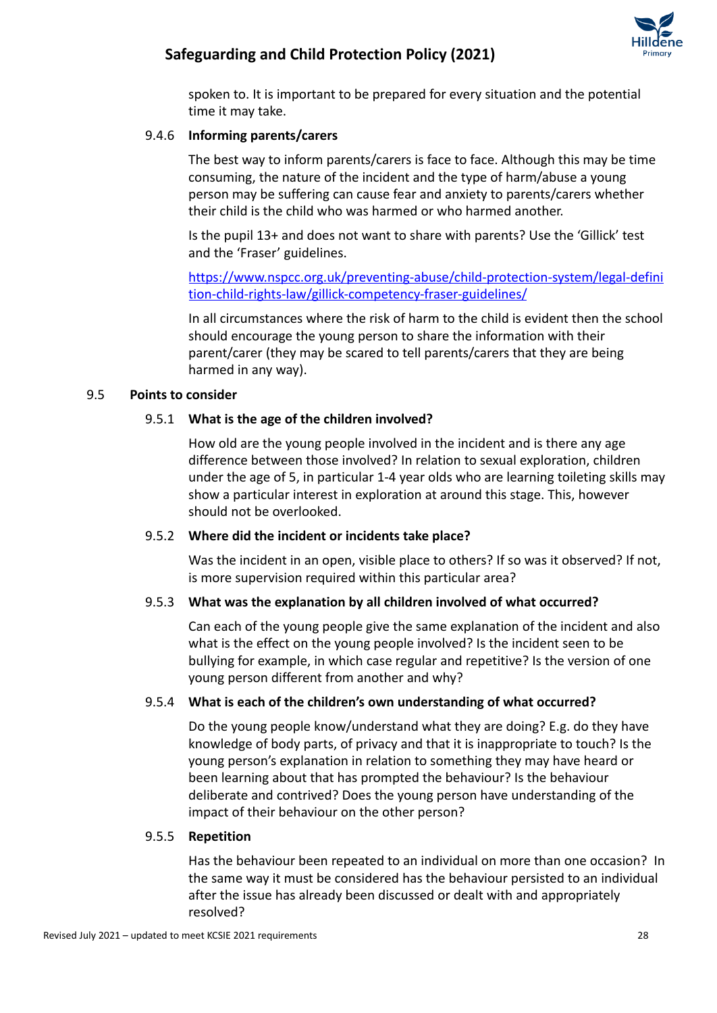

spoken to. It is important to be prepared for every situation and the potential time it may take.

### 9.4.6 **Informing parents/carers**

The best way to inform parents/carers is face to face. Although this may be time consuming, the nature of the incident and the type of harm/abuse a young person may be suffering can cause fear and anxiety to parents/carers whether their child is the child who was harmed or who harmed another.

Is the pupil 13+ and does not want to share with parents? Use the 'Gillick' test and the 'Fraser' guidelines.

[https://www.nspcc.org.uk/preventing-abuse/child-protection-system/legal-defini](https://www.nspcc.org.uk/preventing-abuse/child-protection-system/legal-definition-child-rights-law/gillick-competency-fraser-guidelines/) [tion-child-rights-law/gillick-competency-fraser-guidelines/](https://www.nspcc.org.uk/preventing-abuse/child-protection-system/legal-definition-child-rights-law/gillick-competency-fraser-guidelines/)

In all circumstances where the risk of harm to the child is evident then the school should encourage the young person to share the information with their parent/carer (they may be scared to tell parents/carers that they are being harmed in any way).

### 9.5 **Points to consider**

### 9.5.1 **What is the age of the children involved?**

How old are the young people involved in the incident and is there any age difference between those involved? In relation to sexual exploration, children under the age of 5, in particular 1-4 year olds who are learning toileting skills may show a particular interest in exploration at around this stage. This, however should not be overlooked.

### 9.5.2 **Where did the incident or incidents take place?**

Was the incident in an open, visible place to others? If so was it observed? If not, is more supervision required within this particular area?

### 9.5.3 **What was the explanation by all children involved of what occurred?**

Can each of the young people give the same explanation of the incident and also what is the effect on the young people involved? Is the incident seen to be bullying for example, in which case regular and repetitive? Is the version of one young person different from another and why?

### 9.5.4 **What is each of the children's own understanding of what occurred?**

Do the young people know/understand what they are doing? E.g. do they have knowledge of body parts, of privacy and that it is inappropriate to touch? Is the young person's explanation in relation to something they may have heard or been learning about that has prompted the behaviour? Is the behaviour deliberate and contrived? Does the young person have understanding of the impact of their behaviour on the other person?

#### 9.5.5 **Repetition**

Has the behaviour been repeated to an individual on more than one occasion? In the same way it must be considered has the behaviour persisted to an individual after the issue has already been discussed or dealt with and appropriately resolved?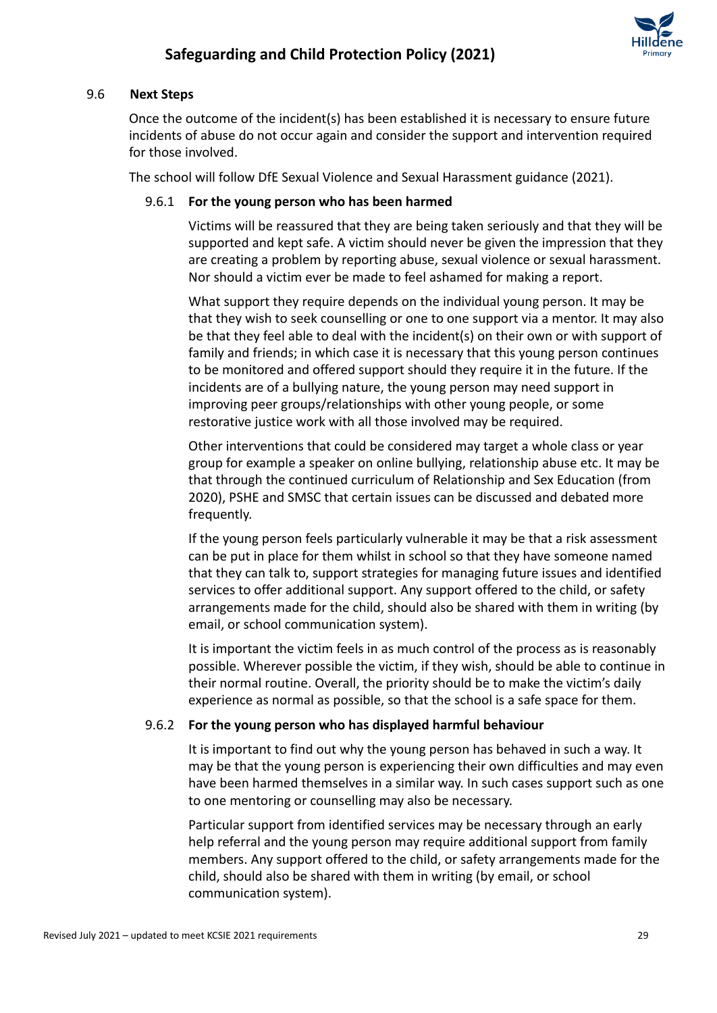

#### 9.6 **Next Steps**

Once the outcome of the incident(s) has been established it is necessary to ensure future incidents of abuse do not occur again and consider the support and intervention required for those involved.

The school will follow DfE Sexual Violence and Sexual Harassment guidance (2021).

### 9.6.1 **For the young person who has been harmed**

Victims will be reassured that they are being taken seriously and that they will be supported and kept safe. A victim should never be given the impression that they are creating a problem by reporting abuse, sexual violence or sexual harassment. Nor should a victim ever be made to feel ashamed for making a report.

What support they require depends on the individual young person. It may be that they wish to seek counselling or one to one support via a mentor. It may also be that they feel able to deal with the incident(s) on their own or with support of family and friends; in which case it is necessary that this young person continues to be monitored and offered support should they require it in the future. If the incidents are of a bullying nature, the young person may need support in improving peer groups/relationships with other young people, or some restorative justice work with all those involved may be required.

Other interventions that could be considered may target a whole class or year group for example a speaker on online bullying, relationship abuse etc. It may be that through the continued curriculum of Relationship and Sex Education (from 2020), PSHE and SMSC that certain issues can be discussed and debated more frequently.

If the young person feels particularly vulnerable it may be that a risk assessment can be put in place for them whilst in school so that they have someone named that they can talk to, support strategies for managing future issues and identified services to offer additional support. Any support offered to the child, or safety arrangements made for the child, should also be shared with them in writing (by email, or school communication system).

It is important the victim feels in as much control of the process as is reasonably possible. Wherever possible the victim, if they wish, should be able to continue in their normal routine. Overall, the priority should be to make the victim's daily experience as normal as possible, so that the school is a safe space for them.

#### 9.6.2 **For the young person who has displayed harmful behaviour**

It is important to find out why the young person has behaved in such a way. It may be that the young person is experiencing their own difficulties and may even have been harmed themselves in a similar way. In such cases support such as one to one mentoring or counselling may also be necessary.

Particular support from identified services may be necessary through an early help referral and the young person may require additional support from family members. Any support offered to the child, or safety arrangements made for the child, should also be shared with them in writing (by email, or school communication system).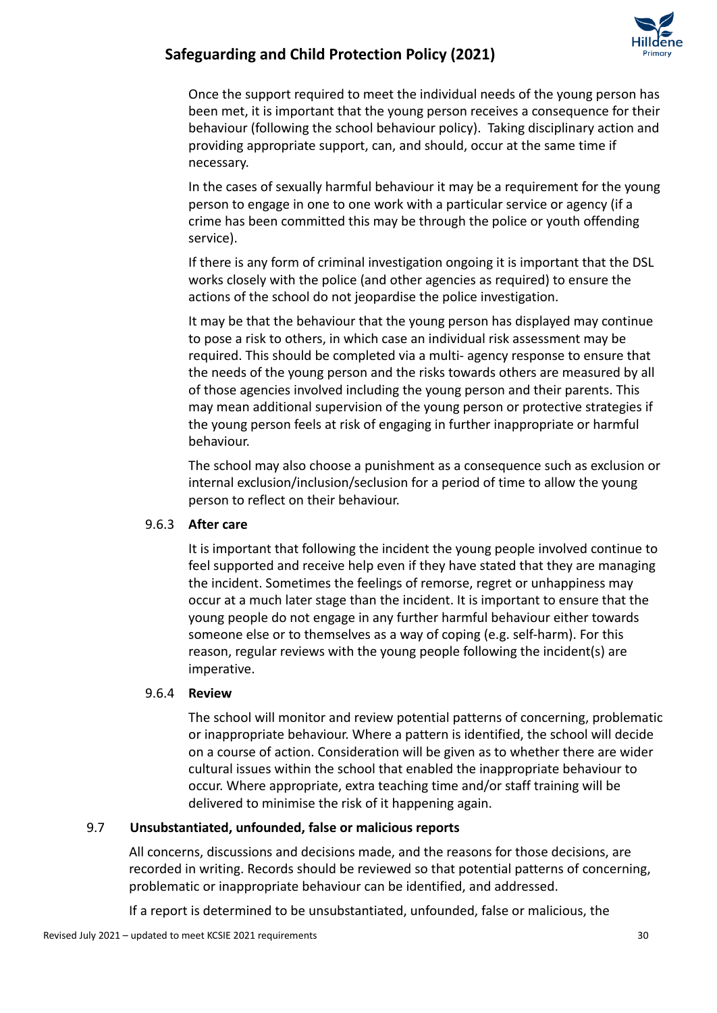

Once the support required to meet the individual needs of the young person has been met, it is important that the young person receives a consequence for their behaviour (following the school behaviour policy). Taking disciplinary action and providing appropriate support, can, and should, occur at the same time if necessary.

In the cases of sexually harmful behaviour it may be a requirement for the young person to engage in one to one work with a particular service or agency (if a crime has been committed this may be through the police or youth offending service).

If there is any form of criminal investigation ongoing it is important that the DSL works closely with the police (and other agencies as required) to ensure the actions of the school do not jeopardise the police investigation.

It may be that the behaviour that the young person has displayed may continue to pose a risk to others, in which case an individual risk assessment may be required. This should be completed via a multi- agency response to ensure that the needs of the young person and the risks towards others are measured by all of those agencies involved including the young person and their parents. This may mean additional supervision of the young person or protective strategies if the young person feels at risk of engaging in further inappropriate or harmful behaviour.

The school may also choose a punishment as a consequence such as exclusion or internal exclusion/inclusion/seclusion for a period of time to allow the young person to reflect on their behaviour.

### 9.6.3 **After care**

It is important that following the incident the young people involved continue to feel supported and receive help even if they have stated that they are managing the incident. Sometimes the feelings of remorse, regret or unhappiness may occur at a much later stage than the incident. It is important to ensure that the young people do not engage in any further harmful behaviour either towards someone else or to themselves as a way of coping (e.g. self-harm). For this reason, regular reviews with the young people following the incident(s) are imperative.

#### 9.6.4 **Review**

The school will monitor and review potential patterns of concerning, problematic or inappropriate behaviour. Where a pattern is identified, the school will decide on a course of action. Consideration will be given as to whether there are wider cultural issues within the school that enabled the inappropriate behaviour to occur. Where appropriate, extra teaching time and/or staff training will be delivered to minimise the risk of it happening again.

### 9.7 **Unsubstantiated, unfounded, false or malicious reports**

All concerns, discussions and decisions made, and the reasons for those decisions, are recorded in writing. Records should be reviewed so that potential patterns of concerning, problematic or inappropriate behaviour can be identified, and addressed.

If a report is determined to be unsubstantiated, unfounded, false or malicious, the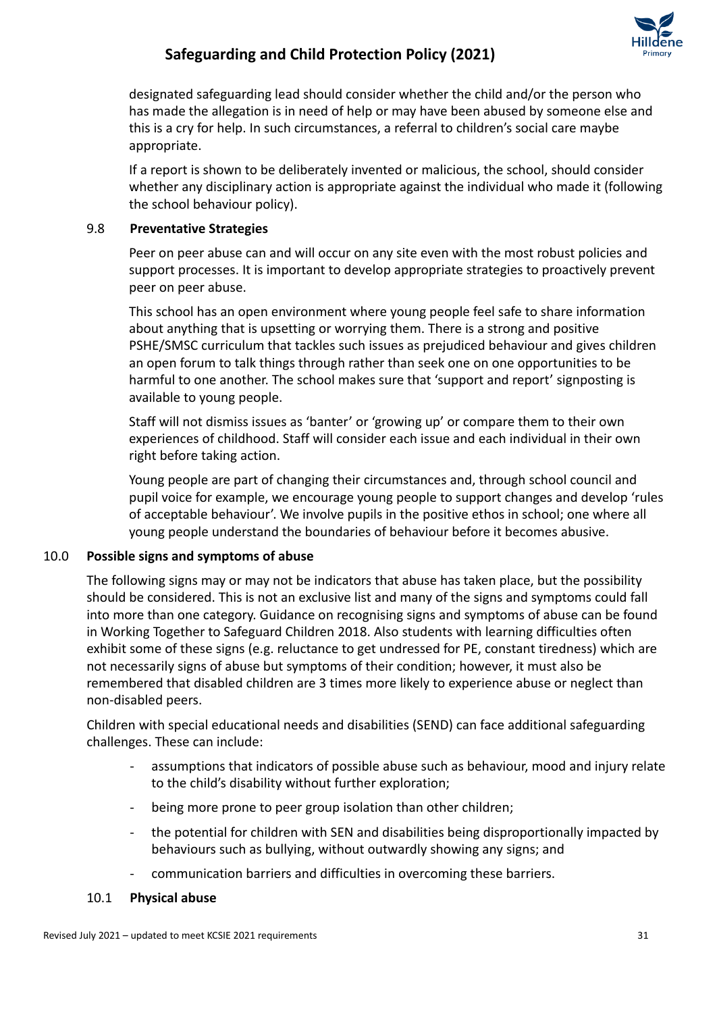

designated safeguarding lead should consider whether the child and/or the person who has made the allegation is in need of help or may have been abused by someone else and this is a cry for help. In such circumstances, a referral to children's social care maybe appropriate.

If a report is shown to be deliberately invented or malicious, the school, should consider whether any disciplinary action is appropriate against the individual who made it (following the school behaviour policy).

### 9.8 **Preventative Strategies**

Peer on peer abuse can and will occur on any site even with the most robust policies and support processes. It is important to develop appropriate strategies to proactively prevent peer on peer abuse.

This school has an open environment where young people feel safe to share information about anything that is upsetting or worrying them. There is a strong and positive PSHE/SMSC curriculum that tackles such issues as prejudiced behaviour and gives children an open forum to talk things through rather than seek one on one opportunities to be harmful to one another. The school makes sure that 'support and report' signposting is available to young people.

Staff will not dismiss issues as 'banter' or 'growing up' or compare them to their own experiences of childhood. Staff will consider each issue and each individual in their own right before taking action.

Young people are part of changing their circumstances and, through school council and pupil voice for example, we encourage young people to support changes and develop 'rules of acceptable behaviour'. We involve pupils in the positive ethos in school; one where all young people understand the boundaries of behaviour before it becomes abusive.

### 10.0 **Possible signs and symptoms of abuse**

The following signs may or may not be indicators that abuse has taken place, but the possibility should be considered. This is not an exclusive list and many of the signs and symptoms could fall into more than one category. Guidance on recognising signs and symptoms of abuse can be found in Working Together to Safeguard Children 2018. Also students with learning difficulties often exhibit some of these signs (e.g. reluctance to get undressed for PE, constant tiredness) which are not necessarily signs of abuse but symptoms of their condition; however, it must also be remembered that disabled children are 3 times more likely to experience abuse or neglect than non-disabled peers.

Children with special educational needs and disabilities (SEND) can face additional safeguarding challenges. These can include:

- assumptions that indicators of possible abuse such as behaviour, mood and injury relate to the child's disability without further exploration;
- being more prone to peer group isolation than other children;
- the potential for children with SEN and disabilities being disproportionally impacted by behaviours such as bullying, without outwardly showing any signs; and
- communication barriers and difficulties in overcoming these barriers.
- 10.1 **Physical abuse**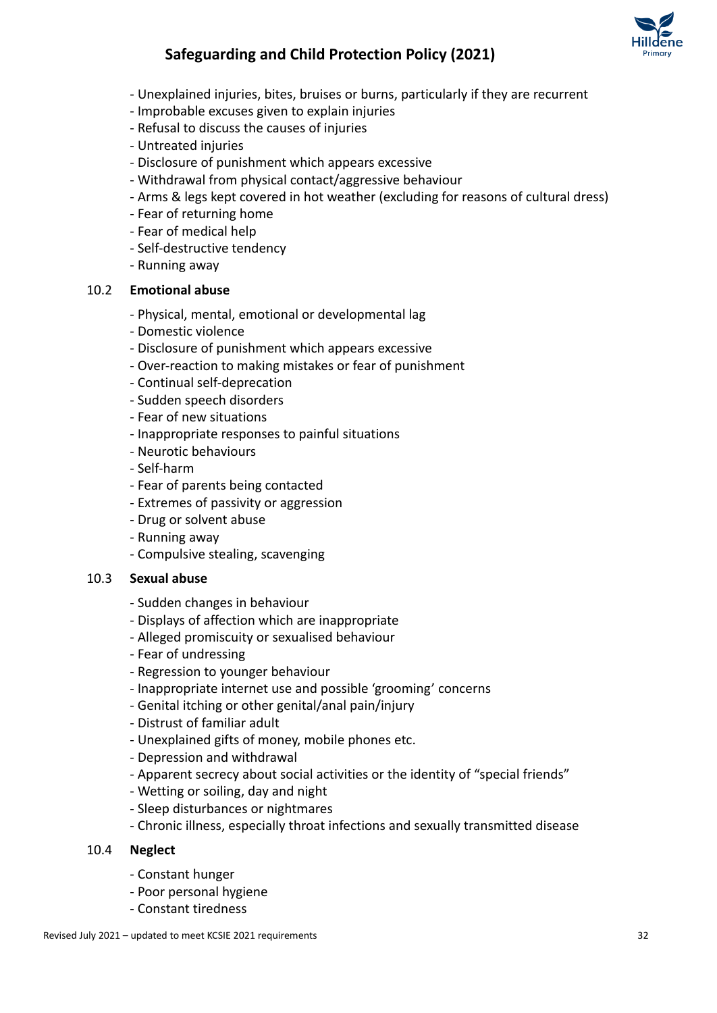

- Unexplained injuries, bites, bruises or burns, particularly if they are recurrent
- Improbable excuses given to explain injuries
- Refusal to discuss the causes of injuries
- Untreated injuries
- Disclosure of punishment which appears excessive
- Withdrawal from physical contact/aggressive behaviour
- Arms & legs kept covered in hot weather (excluding for reasons of cultural dress)
- Fear of returning home
- Fear of medical help
- Self-destructive tendency
- Running away

### 10.2 **Emotional abuse**

- Physical, mental, emotional or developmental lag
- Domestic violence
- Disclosure of punishment which appears excessive
- Over-reaction to making mistakes or fear of punishment
- Continual self-deprecation
- Sudden speech disorders
- Fear of new situations
- Inappropriate responses to painful situations
- Neurotic behaviours
- Self-harm
- Fear of parents being contacted
- Extremes of passivity or aggression
- Drug or solvent abuse
- Running away
- Compulsive stealing, scavenging

#### 10.3 **Sexual abuse**

- Sudden changes in behaviour
- Displays of affection which are inappropriate
- Alleged promiscuity or sexualised behaviour
- Fear of undressing
- Regression to younger behaviour
- Inappropriate internet use and possible 'grooming' concerns
- Genital itching or other genital/anal pain/injury
- Distrust of familiar adult
- Unexplained gifts of money, mobile phones etc.
- Depression and withdrawal
- Apparent secrecy about social activities or the identity of "special friends"
- Wetting or soiling, day and night
- Sleep disturbances or nightmares
- Chronic illness, especially throat infections and sexually transmitted disease

#### 10.4 **Neglect**

- Constant hunger
- Poor personal hygiene
- Constant tiredness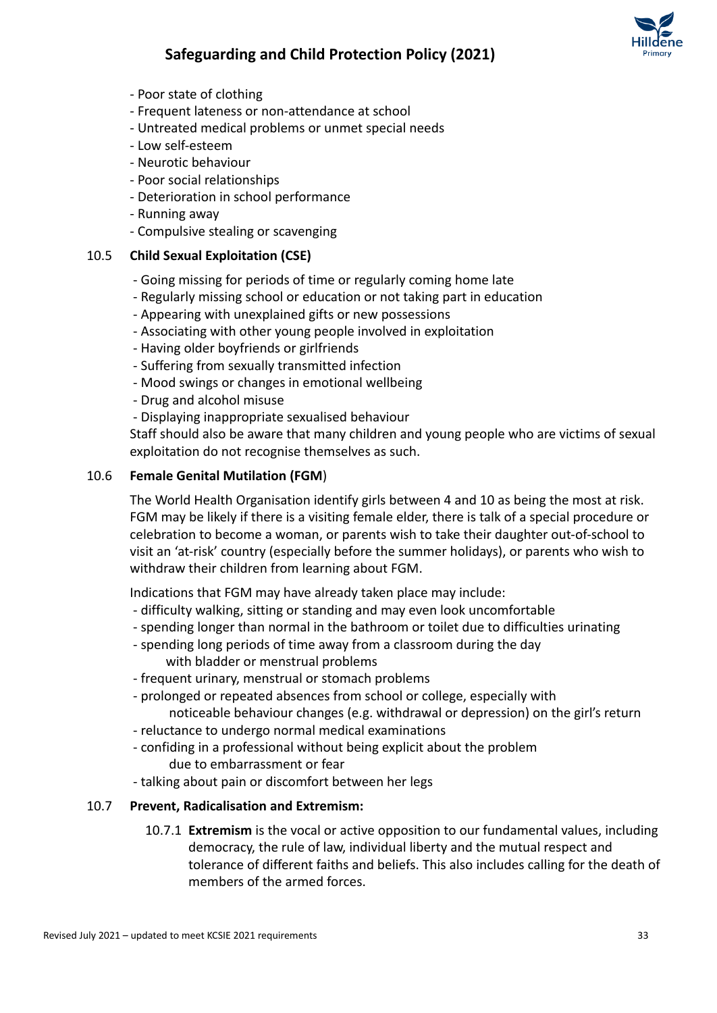

- Poor state of clothing
- Frequent lateness or non-attendance at school
- Untreated medical problems or unmet special needs
- Low self-esteem
- Neurotic behaviour
- Poor social relationships
- Deterioration in school performance
- Running away
- Compulsive stealing or scavenging

### 10.5 **Child Sexual Exploitation (CSE)**

- Going missing for periods of time or regularly coming home late
- Regularly missing school or education or not taking part in education
- Appearing with unexplained gifts or new possessions
- Associating with other young people involved in exploitation
- Having older boyfriends or girlfriends
- Suffering from sexually transmitted infection
- Mood swings or changes in emotional wellbeing
- Drug and alcohol misuse
- Displaying inappropriate sexualised behaviour

Staff should also be aware that many children and young people who are victims of sexual exploitation do not recognise themselves as such.

### 10.6 **Female Genital Mutilation (FGM**)

The World Health Organisation identify girls between 4 and 10 as being the most at risk. FGM may be likely if there is a visiting female elder, there is talk of a special procedure or celebration to become a woman, or parents wish to take their daughter out-of-school to visit an 'at-risk' country (especially before the summer holidays), or parents who wish to withdraw their children from learning about FGM.

Indications that FGM may have already taken place may include:

- difficulty walking, sitting or standing and may even look uncomfortable
- spending longer than normal in the bathroom or toilet due to difficulties urinating
- spending long periods of time away from a classroom during the day with bladder or menstrual problems
- frequent urinary, menstrual or stomach problems
- prolonged or repeated absences from school or college, especially with noticeable behaviour changes (e.g. withdrawal or depression) on the girl's return
- reluctance to undergo normal medical examinations
- confiding in a professional without being explicit about the problem due to embarrassment or fear
- talking about pain or discomfort between her legs

### 10.7 **Prevent, Radicalisation and Extremism:**

10.7.1 **Extremism** is the vocal or active opposition to our fundamental values, including democracy, the rule of law, individual liberty and the mutual respect and tolerance of different faiths and beliefs. This also includes calling for the death of members of the armed forces.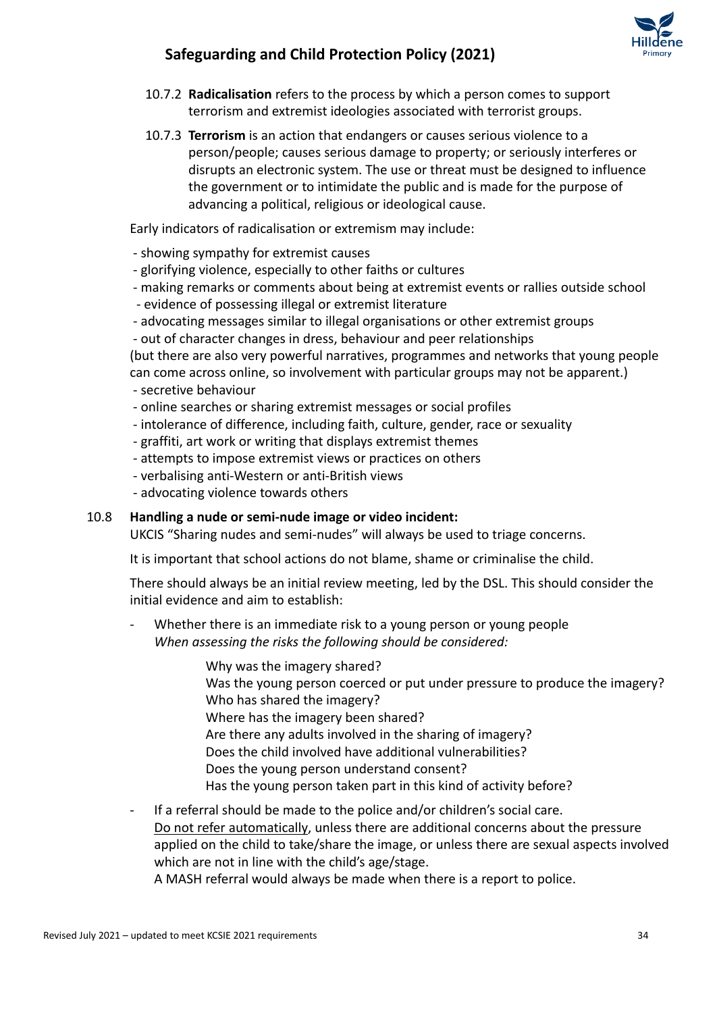

- 10.7.2 **Radicalisation** refers to the process by which a person comes to support terrorism and extremist ideologies associated with terrorist groups.
- 10.7.3 **Terrorism** is an action that endangers or causes serious violence to a person/people; causes serious damage to property; or seriously interferes or disrupts an electronic system. The use or threat must be designed to influence the government or to intimidate the public and is made for the purpose of advancing a political, religious or ideological cause.

Early indicators of radicalisation or extremism may include:

- showing sympathy for extremist causes
- glorifying violence, especially to other faiths or cultures
- making remarks or comments about being at extremist events or rallies outside school
- evidence of possessing illegal or extremist literature
- advocating messages similar to illegal organisations or other extremist groups
- out of character changes in dress, behaviour and peer relationships

(but there are also very powerful narratives, programmes and networks that young people can come across online, so involvement with particular groups may not be apparent.)

- secretive behaviour
- online searches or sharing extremist messages or social profiles
- intolerance of difference, including faith, culture, gender, race or sexuality
- graffiti, art work or writing that displays extremist themes
- attempts to impose extremist views or practices on others
- verbalising anti-Western or anti-British views
- advocating violence towards others

#### 10.8 **Handling a nude or semi-nude image or video incident:**

UKCIS "Sharing nudes and semi-nudes" will always be used to triage concerns.

It is important that school actions do not blame, shame or criminalise the child.

There should always be an initial review meeting, led by the DSL. This should consider the initial evidence and aim to establish:

- Whether there is an immediate risk to a young person or young people *When assessing the risks the following should be considered:*
	- Why was the imagery shared? Was the young person coerced or put under pressure to produce the imagery? Who has shared the imagery? Where has the imagery been shared? Are there any adults involved in the sharing of imagery? Does the child involved have additional vulnerabilities? Does the young person understand consent? Has the young person taken part in this kind of activity before?
- If a referral should be made to the police and/or children's social care. Do not refer automatically, unless there are additional concerns about the pressure applied on the child to take/share the image, or unless there are sexual aspects involved which are not in line with the child's age/stage.

A MASH referral would always be made when there is a report to police.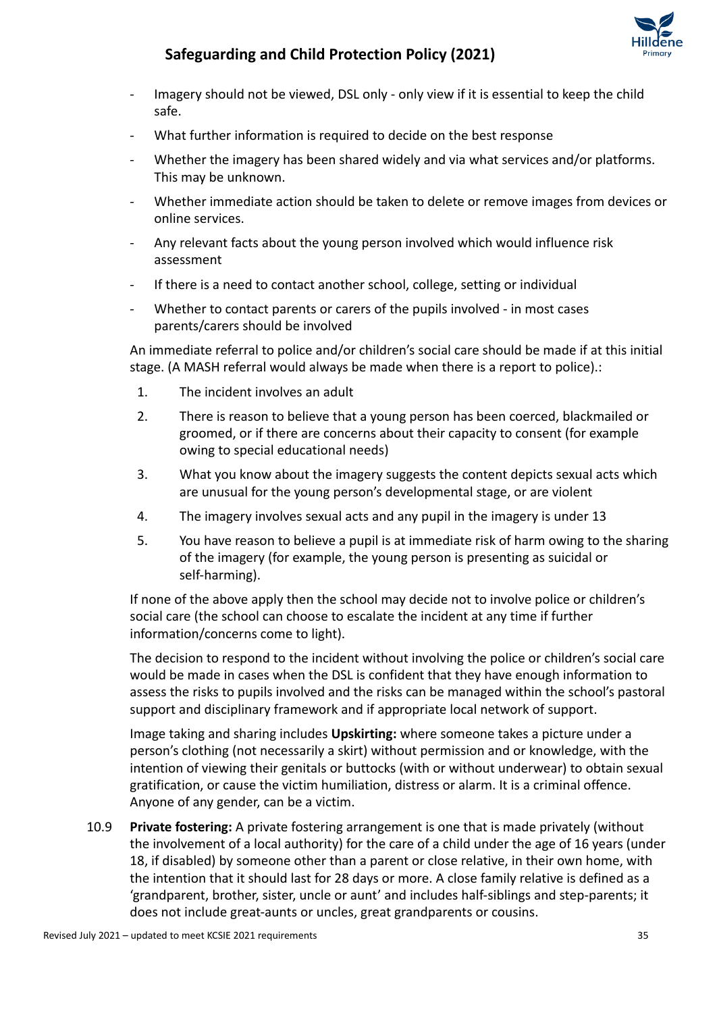

- Imagery should not be viewed, DSL only only view if it is essential to keep the child safe.
- What further information is required to decide on the best response
- Whether the imagery has been shared widely and via what services and/or platforms. This may be unknown.
- Whether immediate action should be taken to delete or remove images from devices or online services.
- Any relevant facts about the young person involved which would influence risk assessment
- If there is a need to contact another school, college, setting or individual
- Whether to contact parents or carers of the pupils involved in most cases parents/carers should be involved

An immediate referral to police and/or children's social care should be made if at this initial stage. (A MASH referral would always be made when there is a report to police).:

- 1. The incident involves an adult
- 2. There is reason to believe that a young person has been coerced, blackmailed or groomed, or if there are concerns about their capacity to consent (for example owing to special educational needs)
- 3. What you know about the imagery suggests the content depicts sexual acts which are unusual for the young person's developmental stage, or are violent
- 4. The imagery involves sexual acts and any pupil in the imagery is under 13
- 5. You have reason to believe a pupil is at immediate risk of harm owing to the sharing of the imagery (for example, the young person is presenting as suicidal or self-harming).

If none of the above apply then the school may decide not to involve police or children's social care (the school can choose to escalate the incident at any time if further information/concerns come to light).

The decision to respond to the incident without involving the police or children's social care would be made in cases when the DSL is confident that they have enough information to assess the risks to pupils involved and the risks can be managed within the school's pastoral support and disciplinary framework and if appropriate local network of support.

Image taking and sharing includes **Upskirting:** where someone takes a picture under a person's clothing (not necessarily a skirt) without permission and or knowledge, with the intention of viewing their genitals or buttocks (with or without underwear) to obtain sexual gratification, or cause the victim humiliation, distress or alarm. It is a criminal offence. Anyone of any gender, can be a victim.

10.9 **Private fostering:** A private fostering arrangement is one that is made privately (without the involvement of a local authority) for the care of a child under the age of 16 years (under 18, if disabled) by someone other than a parent or close relative, in their own home, with the intention that it should last for 28 days or more. A close family relative is defined as a 'grandparent, brother, sister, uncle or aunt' and includes half-siblings and step-parents; it does not include great-aunts or uncles, great grandparents or cousins.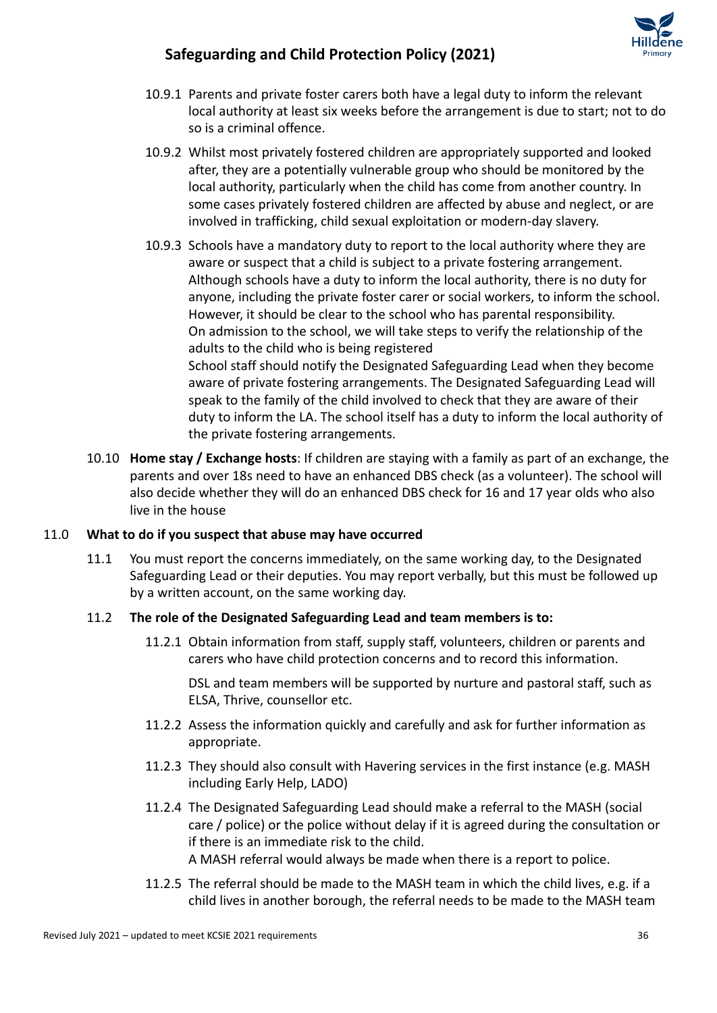

- 10.9.1 Parents and private foster carers both have a legal duty to inform the relevant local authority at least six weeks before the arrangement is due to start; not to do so is a criminal offence.
- 10.9.2 Whilst most privately fostered children are appropriately supported and looked after, they are a potentially vulnerable group who should be monitored by the local authority, particularly when the child has come from another country. In some cases privately fostered children are affected by abuse and neglect, or are involved in trafficking, child sexual exploitation or modern-day slavery.
- 10.9.3 Schools have a mandatory duty to report to the local authority where they are aware or suspect that a child is subject to a private fostering arrangement. Although schools have a duty to inform the local authority, there is no duty for anyone, including the private foster carer or social workers, to inform the school. However, it should be clear to the school who has parental responsibility. On admission to the school, we will take steps to verify the relationship of the adults to the child who is being registered School staff should notify the Designated Safeguarding Lead when they become aware of private fostering arrangements. The Designated Safeguarding Lead will speak to the family of the child involved to check that they are aware of their duty to inform the LA. The school itself has a duty to inform the local authority of the private fostering arrangements.
- 10.10 **Home stay / Exchange hosts**: If children are staying with a family as part of an exchange, the parents and over 18s need to have an enhanced DBS check (as a volunteer). The school will also decide whether they will do an enhanced DBS check for 16 and 17 year olds who also live in the house

### 11.0 **What to do if you suspect that abuse may have occurred**

11.1 You must report the concerns immediately, on the same working day, to the Designated Safeguarding Lead or their deputies. You may report verbally, but this must be followed up by a written account, on the same working day.

### 11.2 **The role of the Designated Safeguarding Lead and team members is to:**

11.2.1 Obtain information from staff, supply staff, volunteers, children or parents and carers who have child protection concerns and to record this information.

DSL and team members will be supported by nurture and pastoral staff, such as ELSA, Thrive, counsellor etc.

- 11.2.2 Assess the information quickly and carefully and ask for further information as appropriate.
- 11.2.3 They should also consult with Havering services in the first instance (e.g. MASH including Early Help, LADO)
- 11.2.4 The Designated Safeguarding Lead should make a referral to the MASH (social care / police) or the police without delay if it is agreed during the consultation or if there is an immediate risk to the child. A MASH referral would always be made when there is a report to police.
- 11.2.5 The referral should be made to the MASH team in which the child lives, e.g. if a child lives in another borough, the referral needs to be made to the MASH team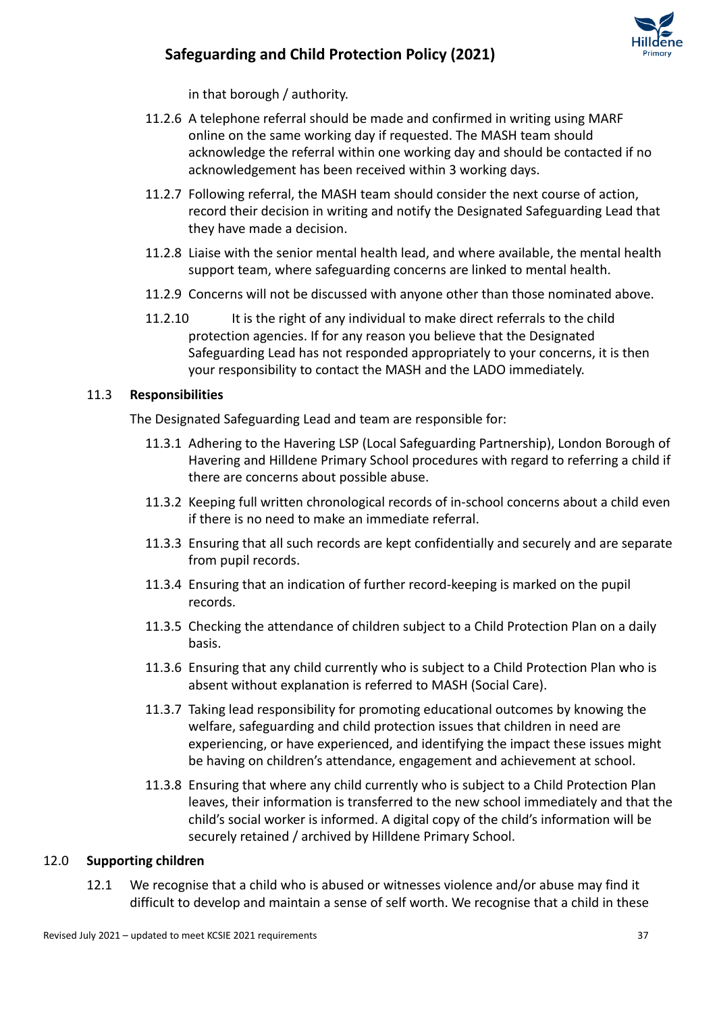

in that borough / authority.

- 11.2.6 A telephone referral should be made and confirmed in writing using MARF online on the same working day if requested. The MASH team should acknowledge the referral within one working day and should be contacted if no acknowledgement has been received within 3 working days.
- 11.2.7 Following referral, the MASH team should consider the next course of action, record their decision in writing and notify the Designated Safeguarding Lead that they have made a decision.
- 11.2.8 Liaise with the senior mental health lead, and where available, the mental health support team, where safeguarding concerns are linked to mental health.
- 11.2.9 Concerns will not be discussed with anyone other than those nominated above.
- 11.2.10 It is the right of any individual to make direct referrals to the child protection agencies. If for any reason you believe that the Designated Safeguarding Lead has not responded appropriately to your concerns, it is then your responsibility to contact the MASH and the LADO immediately.

#### 11.3 **Responsibilities**

The Designated Safeguarding Lead and team are responsible for:

- 11.3.1 Adhering to the Havering LSP (Local Safeguarding Partnership), London Borough of Havering and Hilldene Primary School procedures with regard to referring a child if there are concerns about possible abuse.
- 11.3.2 Keeping full written chronological records of in-school concerns about a child even if there is no need to make an immediate referral.
- 11.3.3 Ensuring that all such records are kept confidentially and securely and are separate from pupil records.
- 11.3.4 Ensuring that an indication of further record-keeping is marked on the pupil records.
- 11.3.5 Checking the attendance of children subject to a Child Protection Plan on a daily basis.
- 11.3.6 Ensuring that any child currently who is subject to a Child Protection Plan who is absent without explanation is referred to MASH (Social Care).
- 11.3.7 Taking lead responsibility for promoting educational outcomes by knowing the welfare, safeguarding and child protection issues that children in need are experiencing, or have experienced, and identifying the impact these issues might be having on children's attendance, engagement and achievement at school.
- 11.3.8 Ensuring that where any child currently who is subject to a Child Protection Plan leaves, their information is transferred to the new school immediately and that the child's social worker is informed. A digital copy of the child's information will be securely retained / archived by Hilldene Primary School.

#### 12.0 **Supporting children**

12.1 We recognise that a child who is abused or witnesses violence and/or abuse may find it difficult to develop and maintain a sense of self worth. We recognise that a child in these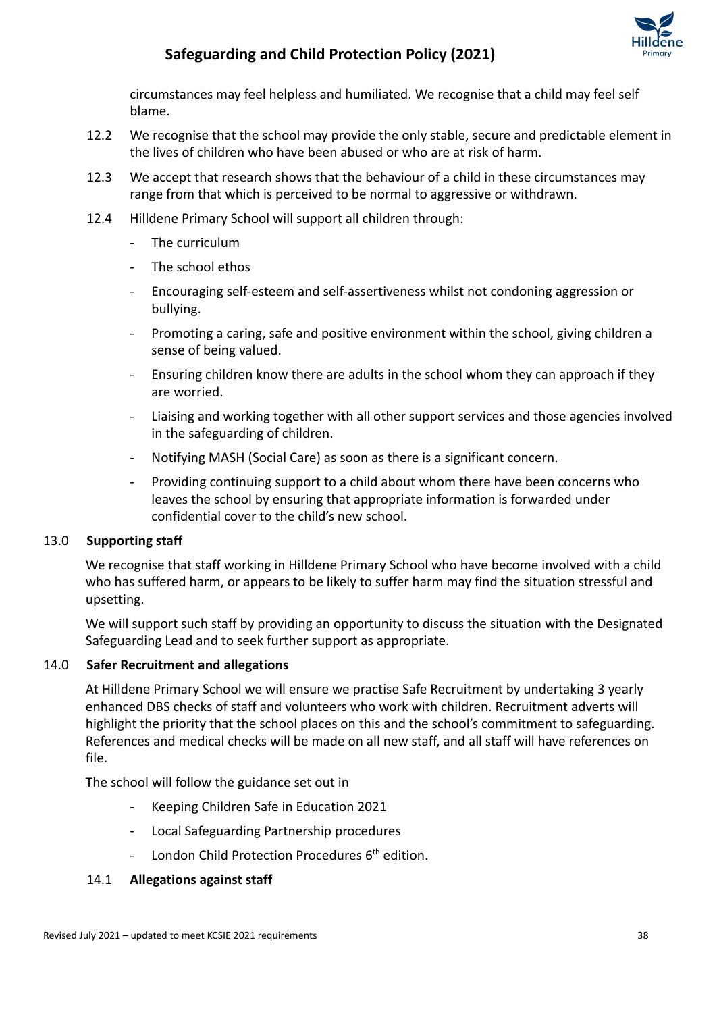

circumstances may feel helpless and humiliated. We recognise that a child may feel self blame.

- 12.2 We recognise that the school may provide the only stable, secure and predictable element in the lives of children who have been abused or who are at risk of harm.
- 12.3 We accept that research shows that the behaviour of a child in these circumstances may range from that which is perceived to be normal to aggressive or withdrawn.
- 12.4 Hilldene Primary School will support all children through:
	- The curriculum
	- The school ethos
	- Encouraging self-esteem and self-assertiveness whilst not condoning aggression or bullying.
	- Promoting a caring, safe and positive environment within the school, giving children a sense of being valued.
	- Ensuring children know there are adults in the school whom they can approach if they are worried.
	- Liaising and working together with all other support services and those agencies involved in the safeguarding of children.
	- Notifying MASH (Social Care) as soon as there is a significant concern.
	- Providing continuing support to a child about whom there have been concerns who leaves the school by ensuring that appropriate information is forwarded under confidential cover to the child's new school.

#### 13.0 **Supporting staff**

We recognise that staff working in Hilldene Primary School who have become involved with a child who has suffered harm, or appears to be likely to suffer harm may find the situation stressful and upsetting.

We will support such staff by providing an opportunity to discuss the situation with the Designated Safeguarding Lead and to seek further support as appropriate.

#### 14.0 **Safer Recruitment and allegations**

At Hilldene Primary School we will ensure we practise Safe Recruitment by undertaking 3 yearly enhanced DBS checks of staff and volunteers who work with children. Recruitment adverts will highlight the priority that the school places on this and the school's commitment to safeguarding. References and medical checks will be made on all new staff, and all staff will have references on file.

The school will follow the guidance set out in

- Keeping Children Safe in Education 2021
- Local Safeguarding Partnership procedures
- London Child Protection Procedures 6<sup>th</sup> edition.

#### 14.1 **Allegations against staff**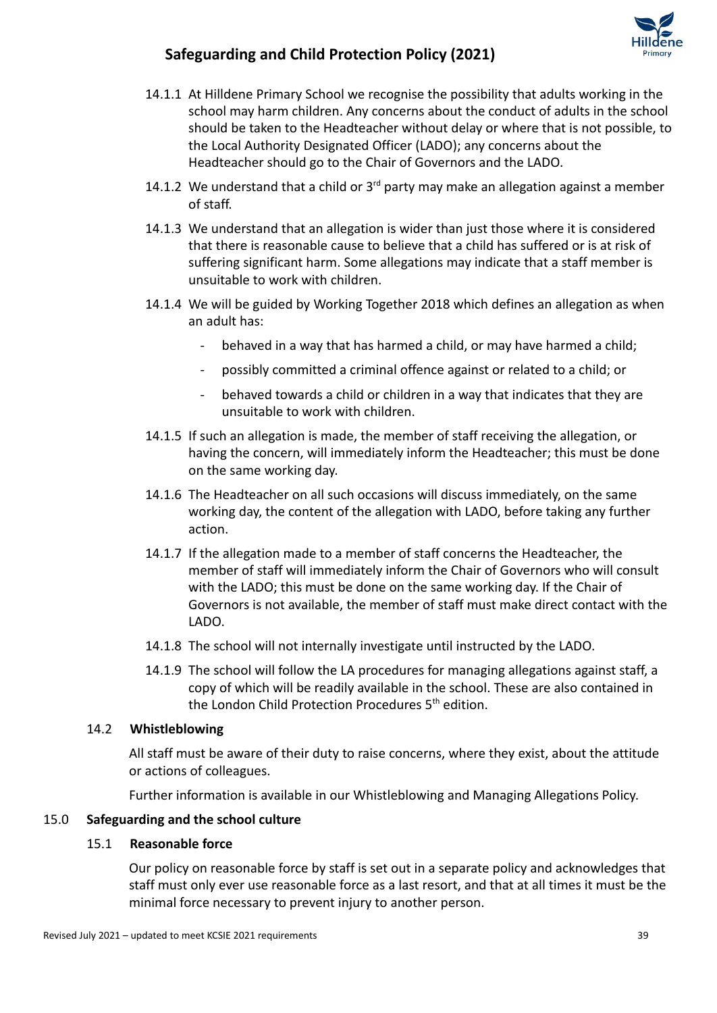- 14.1.1 At Hilldene Primary School we recognise the possibility that adults working in the school may harm children. Any concerns about the conduct of adults in the school should be taken to the Headteacher without delay or where that is not possible, to the Local Authority Designated Officer (LADO); any concerns about the Headteacher should go to the Chair of Governors and the LADO.
- 14.1.2 We understand that a child or  $3<sup>rd</sup>$  party may make an allegation against a member of staff.
- 14.1.3 We understand that an allegation is wider than just those where it is considered that there is reasonable cause to believe that a child has suffered or is at risk of suffering significant harm. Some allegations may indicate that a staff member is unsuitable to work with children.
- 14.1.4 We will be guided by Working Together 2018 which defines an allegation as when an adult has:
	- behaved in a way that has harmed a child, or may have harmed a child;
	- possibly committed a criminal offence against or related to a child; or
	- behaved towards a child or children in a way that indicates that they are unsuitable to work with children.
- 14.1.5 If such an allegation is made, the member of staff receiving the allegation, or having the concern, will immediately inform the Headteacher; this must be done on the same working day.
- 14.1.6 The Headteacher on all such occasions will discuss immediately, on the same working day, the content of the allegation with LADO, before taking any further action.
- 14.1.7 If the allegation made to a member of staff concerns the Headteacher, the member of staff will immediately inform the Chair of Governors who will consult with the LADO; this must be done on the same working day. If the Chair of Governors is not available, the member of staff must make direct contact with the LADO.
- 14.1.8 The school will not internally investigate until instructed by the LADO.
- 14.1.9 The school will follow the LA procedures for managing allegations against staff, a copy of which will be readily available in the school. These are also contained in the London Child Protection Procedures 5<sup>th</sup> edition.

### 14.2 **Whistleblowing**

All staff must be aware of their duty to raise concerns, where they exist, about the attitude or actions of colleagues.

Further information is available in our Whistleblowing and Managing Allegations Policy.

### 15.0 **Safeguarding and the school culture**

#### 15.1 **Reasonable force**

Our policy on reasonable force by staff is set out in a separate policy and acknowledges that staff must only ever use reasonable force as a last resort, and that at all times it must be the minimal force necessary to prevent injury to another person.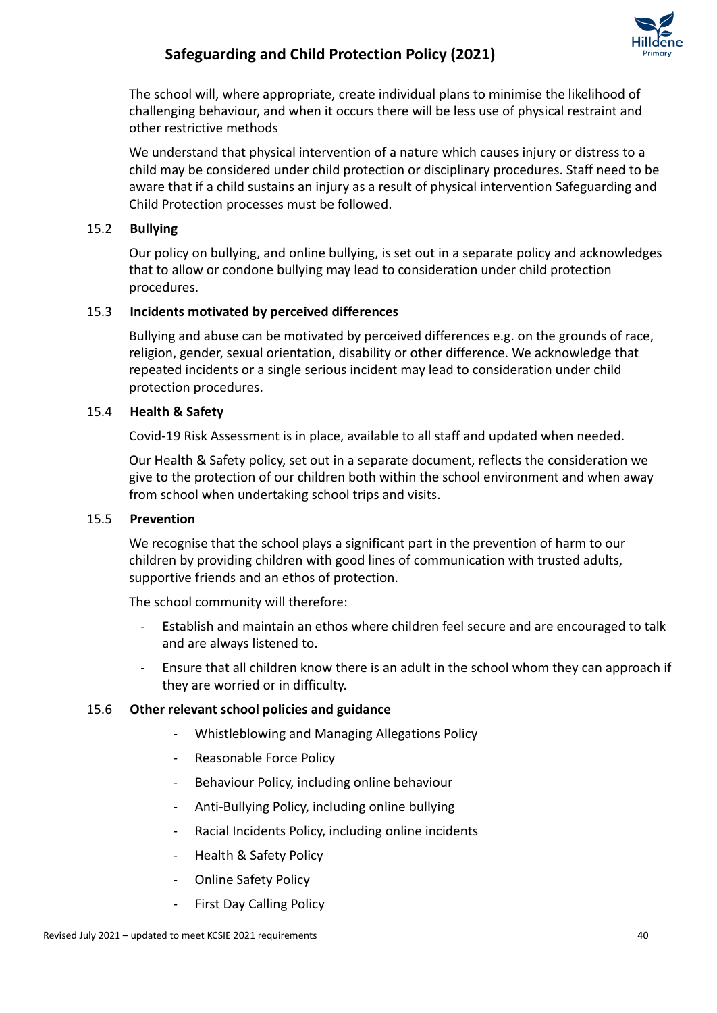

The school will, where appropriate, create individual plans to minimise the likelihood of challenging behaviour, and when it occurs there will be less use of physical restraint and other restrictive methods

We understand that physical intervention of a nature which causes injury or distress to a child may be considered under child protection or disciplinary procedures. Staff need to be aware that if a child sustains an injury as a result of physical intervention Safeguarding and Child Protection processes must be followed.

### 15.2 **Bullying**

Our policy on bullying, and online bullying, is set out in a separate policy and acknowledges that to allow or condone bullying may lead to consideration under child protection procedures.

### 15.3 **Incidents motivated by perceived differences**

Bullying and abuse can be motivated by perceived differences e.g. on the grounds of race, religion, gender, sexual orientation, disability or other difference. We acknowledge that repeated incidents or a single serious incident may lead to consideration under child protection procedures.

#### 15.4 **Health & Safety**

Covid-19 Risk Assessment is in place, available to all staff and updated when needed.

Our Health & Safety policy, set out in a separate document, reflects the consideration we give to the protection of our children both within the school environment and when away from school when undertaking school trips and visits.

#### 15.5 **Prevention**

We recognise that the school plays a significant part in the prevention of harm to our children by providing children with good lines of communication with trusted adults, supportive friends and an ethos of protection.

The school community will therefore:

- Establish and maintain an ethos where children feel secure and are encouraged to talk and are always listened to.
- Ensure that all children know there is an adult in the school whom they can approach if they are worried or in difficulty.

#### 15.6 **Other relevant school policies and guidance**

- Whistleblowing and Managing Allegations Policy
- Reasonable Force Policy
- Behaviour Policy, including online behaviour
- Anti-Bullying Policy, including online bullying
- Racial Incidents Policy, including online incidents
- Health & Safety Policy
- Online Safety Policy
- First Day Calling Policy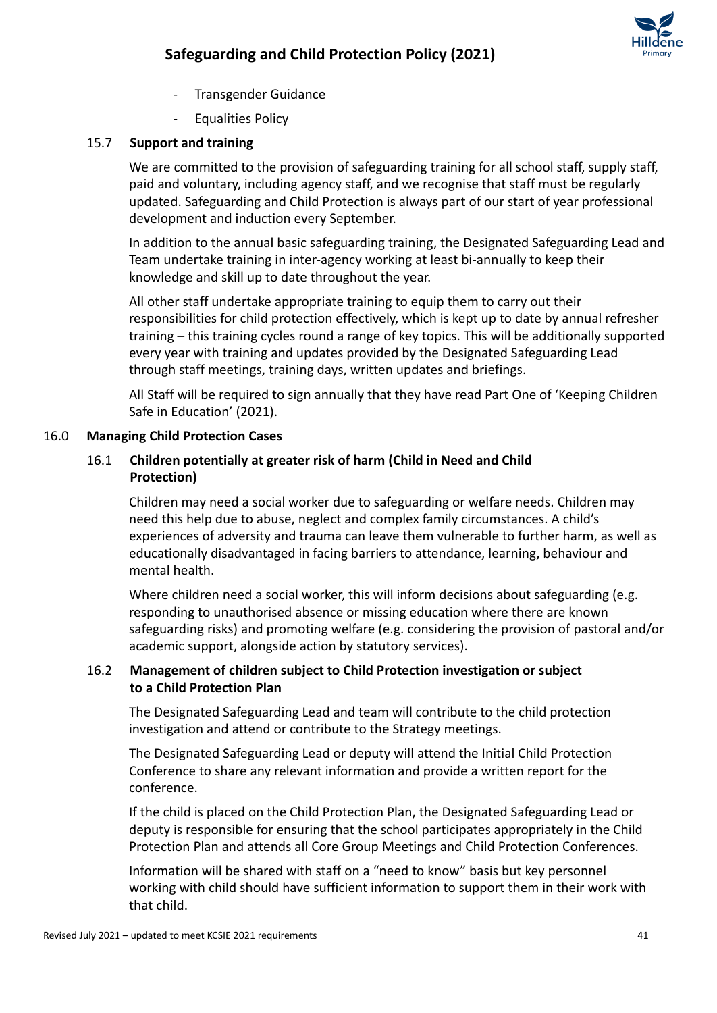

- Transgender Guidance
- Equalities Policy

### 15.7 **Support and training**

We are committed to the provision of safeguarding training for all school staff, supply staff, paid and voluntary, including agency staff, and we recognise that staff must be regularly updated. Safeguarding and Child Protection is always part of our start of year professional development and induction every September.

In addition to the annual basic safeguarding training, the Designated Safeguarding Lead and Team undertake training in inter-agency working at least bi-annually to keep their knowledge and skill up to date throughout the year.

All other staff undertake appropriate training to equip them to carry out their responsibilities for child protection effectively, which is kept up to date by annual refresher training – this training cycles round a range of key topics. This will be additionally supported every year with training and updates provided by the Designated Safeguarding Lead through staff meetings, training days, written updates and briefings.

All Staff will be required to sign annually that they have read Part One of 'Keeping Children Safe in Education' (2021).

### 16.0 **Managing Child Protection Cases**

### 16.1 **Children potentially at greater risk of harm (Child in Need and Child Protection)**

Children may need a social worker due to safeguarding or welfare needs. Children may need this help due to abuse, neglect and complex family circumstances. A child's experiences of adversity and trauma can leave them vulnerable to further harm, as well as educationally disadvantaged in facing barriers to attendance, learning, behaviour and mental health.

Where children need a social worker, this will inform decisions about safeguarding (e.g. responding to unauthorised absence or missing education where there are known safeguarding risks) and promoting welfare (e.g. considering the provision of pastoral and/or academic support, alongside action by statutory services).

### 16.2 **Management of children subject to Child Protection investigation or subject to a Child Protection Plan**

The Designated Safeguarding Lead and team will contribute to the child protection investigation and attend or contribute to the Strategy meetings.

The Designated Safeguarding Lead or deputy will attend the Initial Child Protection Conference to share any relevant information and provide a written report for the conference.

If the child is placed on the Child Protection Plan, the Designated Safeguarding Lead or deputy is responsible for ensuring that the school participates appropriately in the Child Protection Plan and attends all Core Group Meetings and Child Protection Conferences.

Information will be shared with staff on a "need to know" basis but key personnel working with child should have sufficient information to support them in their work with that child.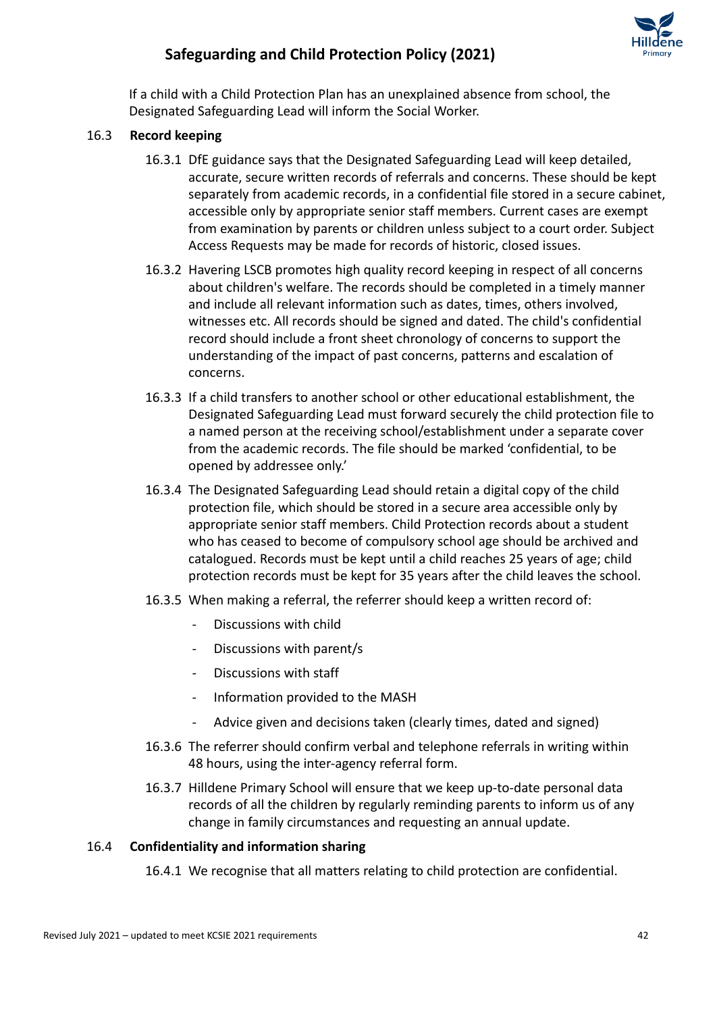

If a child with a Child Protection Plan has an unexplained absence from school, the Designated Safeguarding Lead will inform the Social Worker.

### 16.3 **Record keeping**

- 16.3.1 DfE guidance says that the Designated Safeguarding Lead will keep detailed, accurate, secure written records of referrals and concerns. These should be kept separately from academic records, in a confidential file stored in a secure cabinet, accessible only by appropriate senior staff members. Current cases are exempt from examination by parents or children unless subject to a court order. Subject Access Requests may be made for records of historic, closed issues.
- 16.3.2 Havering LSCB promotes high quality record keeping in respect of all concerns about children's welfare. The records should be completed in a timely manner and include all relevant information such as dates, times, others involved, witnesses etc. All records should be signed and dated. The child's confidential record should include a front sheet chronology of concerns to support the understanding of the impact of past concerns, patterns and escalation of concerns.
- 16.3.3 If a child transfers to another school or other educational establishment, the Designated Safeguarding Lead must forward securely the child protection file to a named person at the receiving school/establishment under a separate cover from the academic records. The file should be marked 'confidential, to be opened by addressee only.'
- 16.3.4 The Designated Safeguarding Lead should retain a digital copy of the child protection file, which should be stored in a secure area accessible only by appropriate senior staff members. Child Protection records about a student who has ceased to become of compulsory school age should be archived and catalogued. Records must be kept until a child reaches 25 years of age; child protection records must be kept for 35 years after the child leaves the school.
- 16.3.5 When making a referral, the referrer should keep a written record of:
	- Discussions with child
	- Discussions with parent/s
	- Discussions with staff
	- Information provided to the MASH
	- Advice given and decisions taken (clearly times, dated and signed)
- 16.3.6 The referrer should confirm verbal and telephone referrals in writing within 48 hours, using the inter-agency referral form.
- 16.3.7 Hilldene Primary School will ensure that we keep up-to-date personal data records of all the children by regularly reminding parents to inform us of any change in family circumstances and requesting an annual update.

#### 16.4 **Confidentiality and information sharing**

16.4.1 We recognise that all matters relating to child protection are confidential.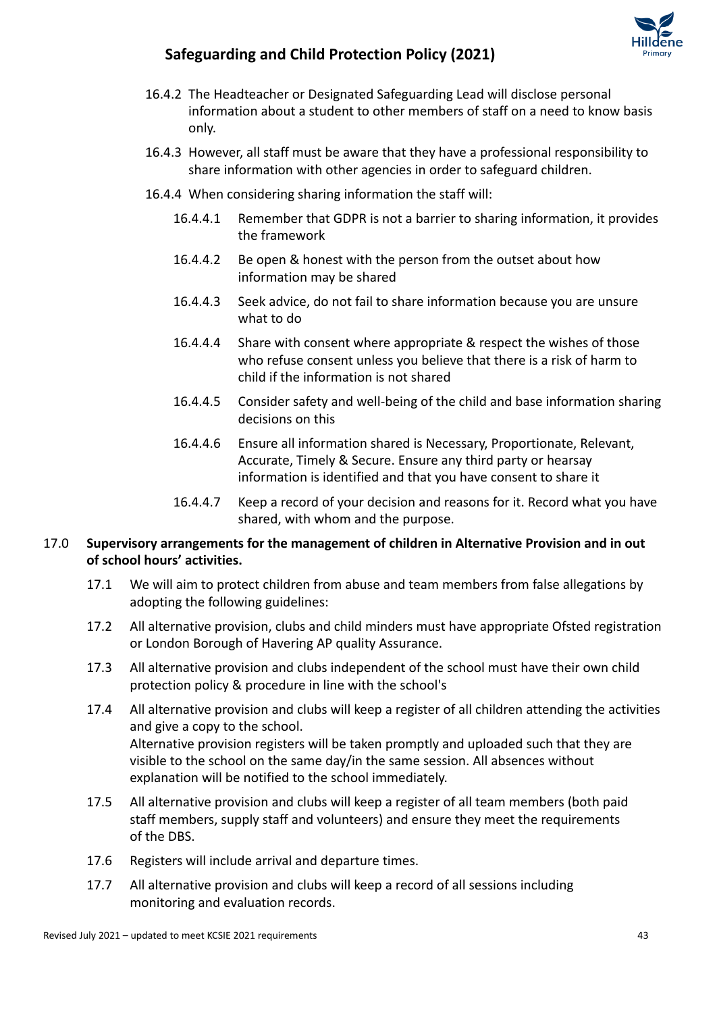

- 16.4.2 The Headteacher or Designated Safeguarding Lead will disclose personal information about a student to other members of staff on a need to know basis only.
- 16.4.3 However, all staff must be aware that they have a professional responsibility to share information with other agencies in order to safeguard children.
- 16.4.4 When considering sharing information the staff will:
	- 16.4.4.1 Remember that GDPR is not a barrier to sharing information, it provides the framework
	- 16.4.4.2 Be open & honest with the person from the outset about how information may be shared
	- 16.4.4.3 Seek advice, do not fail to share information because you are unsure what to do
	- 16.4.4.4 Share with consent where appropriate & respect the wishes of those who refuse consent unless you believe that there is a risk of harm to child if the information is not shared
	- 16.4.4.5 Consider safety and well-being of the child and base information sharing decisions on this
	- 16.4.4.6 Ensure all information shared is Necessary, Proportionate, Relevant, Accurate, Timely & Secure. Ensure any third party or hearsay information is identified and that you have consent to share it
	- 16.4.4.7 Keep a record of your decision and reasons for it. Record what you have shared, with whom and the purpose.

### 17.0 **Supervisory arrangements for the management of children in Alternative Provision and in out of school hours' activities.**

- 17.1 We will aim to protect children from abuse and team members from false allegations by adopting the following guidelines:
- 17.2 All alternative provision, clubs and child minders must have appropriate Ofsted registration or London Borough of Havering AP quality Assurance.
- 17.3 All alternative provision and clubs independent of the school must have their own child protection policy & procedure in line with the school's
- 17.4 All alternative provision and clubs will keep a register of all children attending the activities and give a copy to the school. Alternative provision registers will be taken promptly and uploaded such that they are visible to the school on the same day/in the same session. All absences without explanation will be notified to the school immediately.
- 17.5 All alternative provision and clubs will keep a register of all team members (both paid staff members, supply staff and volunteers) and ensure they meet the requirements of the DBS.
- 17.6 Registers will include arrival and departure times.
- 17.7 All alternative provision and clubs will keep a record of all sessions including monitoring and evaluation records.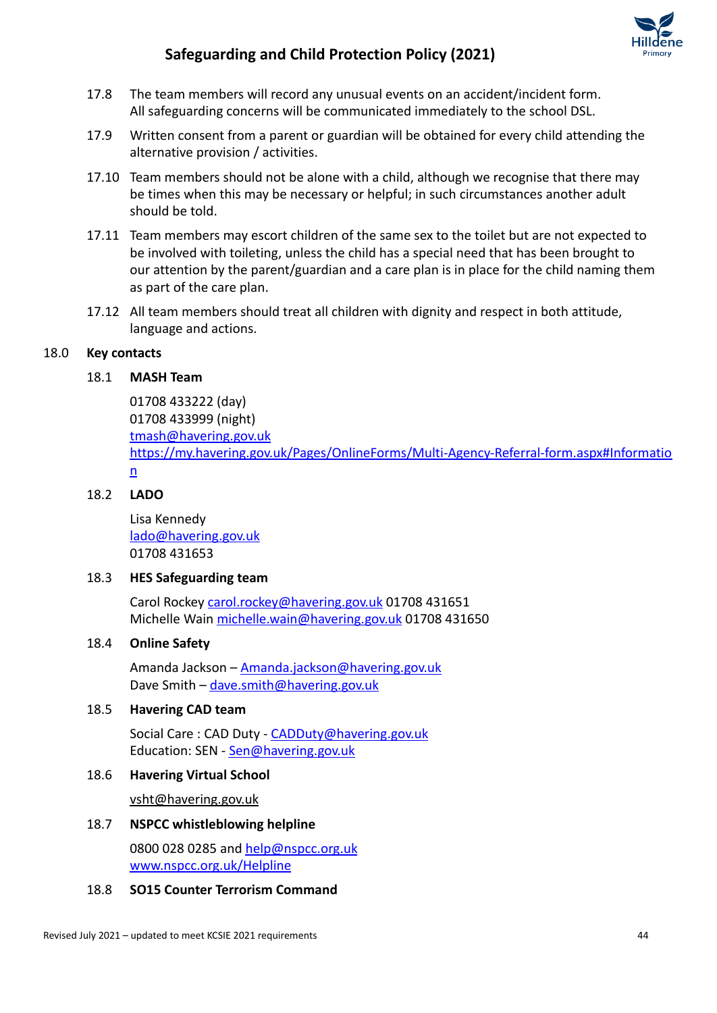

- 17.8 The team members will record any unusual events on an accident/incident form. All safeguarding concerns will be communicated immediately to the school DSL.
- 17.9 Written consent from a parent or guardian will be obtained for every child attending the alternative provision / activities.
- 17.10 Team members should not be alone with a child, although we recognise that there may be times when this may be necessary or helpful; in such circumstances another adult should be told.
- 17.11 Team members may escort children of the same sex to the toilet but are not expected to be involved with toileting, unless the child has a special need that has been brought to our attention by the parent/guardian and a care plan is in place for the child naming them as part of the care plan.
- 17.12 All team members should treat all children with dignity and respect in both attitude, language and actions.

### 18.0 **Key contacts**

#### 18.1 **MASH Team**

01708 433222 (day) 01708 433999 (night) [tmash@havering.gov.uk](mailto:tmash@havering.gov.uk) [https://my.havering.gov.uk/Pages/OnlineForms/Multi-Agency-Referral-form.aspx#Informatio](https://my.havering.gov.uk/Pages/OnlineForms/Multi-Agency-Referral-form.aspx#Information) [n](https://my.havering.gov.uk/Pages/OnlineForms/Multi-Agency-Referral-form.aspx#Information)

### 18.2 **LADO**

Lisa Kennedy [lado@havering.gov.uk](mailto:lado@havering.gov.uk) 01708 431653

#### 18.3 **HES Safeguarding team**

Carol Rockey [carol.rockey@havering.gov.uk](mailto:carol.rockey@havering.gov.uk) 01708 431651 Michelle Wain [michelle.wain@havering.gov.uk](mailto:michelle.wain@havering.gov.uk) 01708 431650

#### 18.4 **Online Safety**

Amanda Jackson – [Amanda.jackson@havering.gov.uk](mailto:Amanda.jackson@havering.gov.uk) Dave Smith - [dave.smith@havering.gov.uk](mailto:dave.smith@havering.gov.uk)

#### 18.5 **Havering CAD team**

Social Care : CAD Duty - [CADDuty@havering.gov.uk](mailto:CADDuty@havering.gov.uk) Education: SEN - [Sen@havering.gov.uk](mailto:Sen@havering.gov.uk)

#### 18.6 **Havering Virtual School**

[vsht@havering.gov.uk](mailto:vsht@havering.gov.uk)

#### 18.7 **NSPCC whistleblowing helpline**

0800 028 0285 and [help@nspcc.org.uk](mailto:help@nspcc.org.uk) [www.nspcc.org.uk/Helpline](http://www.nspcc.org.uk/Helpline)

### 18.8 **SO15 Counter Terrorism Command**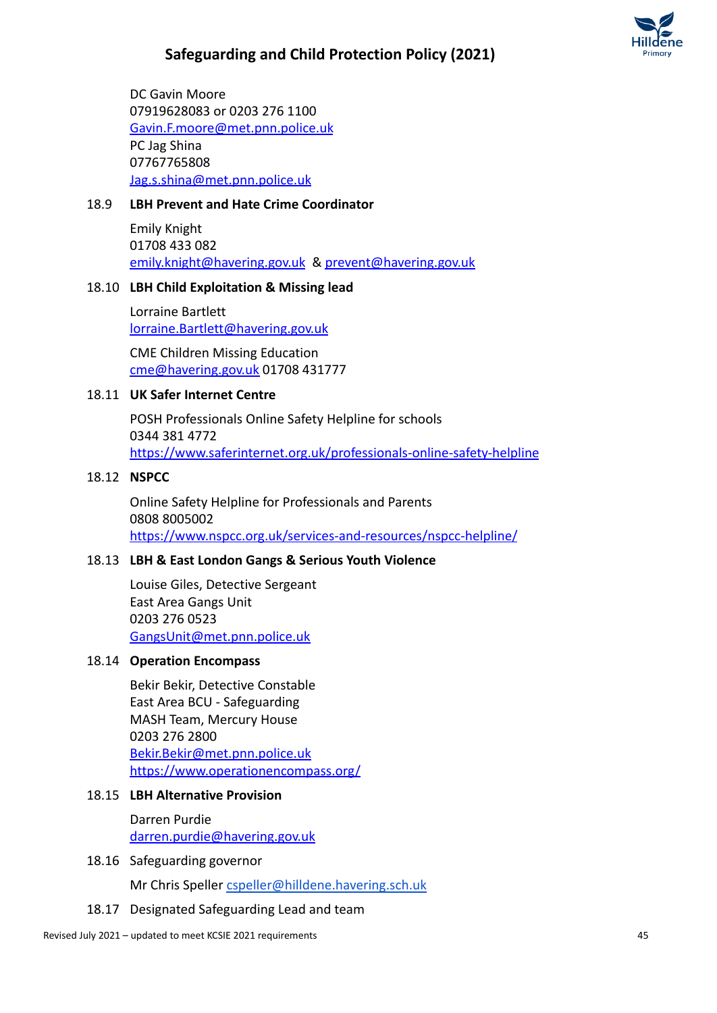

DC Gavin Moore 07919628083 or 0203 276 1100 [Gavin.F.moore@met.pnn.police.uk](mailto:Gavin.F.moore@met.pnn.police.uk) PC Jag Shina 07767765808 [Jag.s.shina@met.pnn.police.uk](mailto:Jag.s.shina@met.pnn.police.uk)

### 18.9 **LBH Prevent and Hate Crime Coordinator**

Emily Knight 01708 433 082 [emily.knight@havering.gov.uk](mailto:emily.knight@havering.gov.uk) & [prevent@havering.gov.uk](mailto:prevent@havering.gov.uk)

#### 18.10 **LBH Child Exploitation & Missing lead**

Lorraine Bartlett [lorraine.Bartlett@havering.gov.uk](mailto:lorraine.Bartlett@havering.gov.uk)

CME Children Missing Education [cme@havering.gov.uk](mailto:cme@havering.gov.uk) 01708 431777

#### 18.11 **UK Safer Internet Centre**

POSH Professionals Online Safety Helpline for schools 0344 381 4772 <https://www.saferinternet.org.uk/professionals-online-safety-helpline>

#### 18.12 **NSPCC**

Online Safety Helpline for Professionals and Parents 0808 8005002 <https://www.nspcc.org.uk/services-and-resources/nspcc-helpline/>

#### 18.13 **LBH & East London Gangs & Serious Youth Violence**

Louise Giles, Detective Sergeant East Area Gangs Unit 0203 276 0523 [GangsUnit@met.pnn.police.uk](mailto:GangsUnit@met.pnn.police.uk)

#### 18.14 **Operation Encompass**

Bekir Bekir, Detective Constable East Area BCU - Safeguarding MASH Team, Mercury House 0203 276 2800 [Bekir.Bekir@met.pnn.police.uk](mailto:Bekir.Bekir@met.pnn.police.uk) <https://www.operationencompass.org/>

#### 18.15 **LBH Alternative Provision**

Darren Purdie [darren.purdie@havering.gov.uk](mailto:darren.purdie@havering.gov.uk)

18.16 Safeguarding governor

Mr Chris Speller [cspeller@hilldene.havering.sch.uk](mailto:cspeller@hilldene.havering.sch.uk)

18.17 Designated Safeguarding Lead and team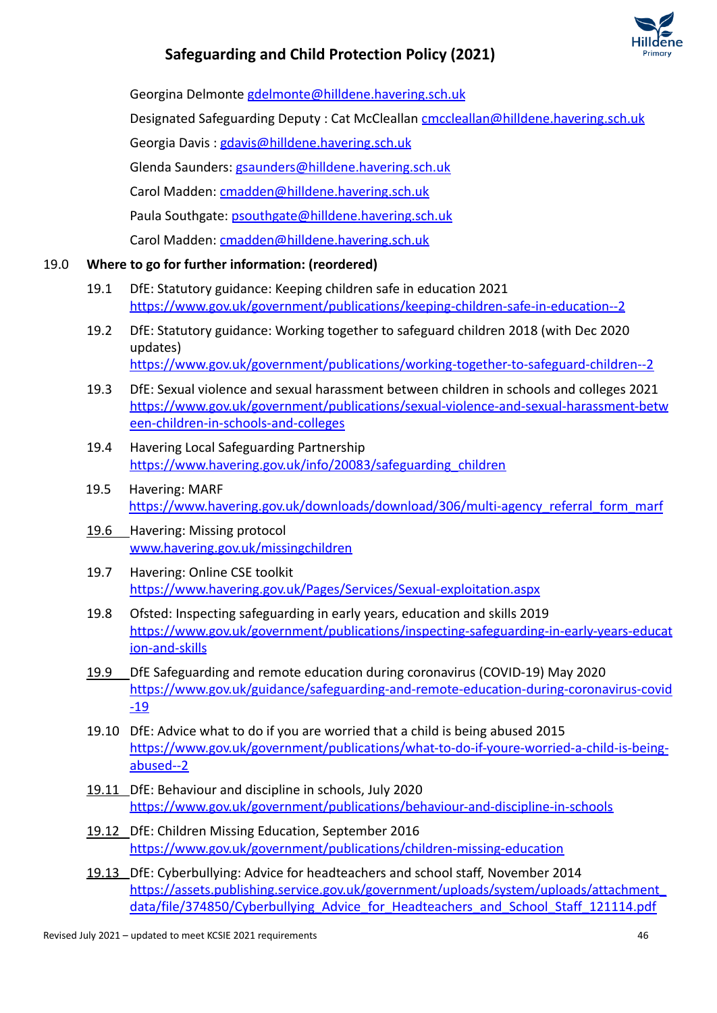

Georgina Delmonte [gdelmonte@hilldene.havering.sch.uk](mailto:gdelmonte@hilldene.havering.sch.uk)

Designated Safeguarding Deputy : Cat McCleallan [cmccleallan@hilldene.havering.sch.uk](mailto:cmccleallan@hilldene.havering.sch.uk)

Georgia Davis : [gdavis@hilldene.havering.sch.uk](mailto:gdavis@hilldene.havering.sch.uk)

Glenda Saunders: [gsaunders@hilldene.havering.sch.uk](mailto:gsaunders@hilldene.havering.sch.uk)

Carol Madden: [cmadden@hilldene.havering.sch.uk](mailto:cmadden@hilldene.havering.sch.uk)

Paula Southgate: [psouthgate@hilldene.havering.sch.uk](mailto:psouthgate@hilldene.havering.sch.uk)

Carol Madden: [cmadden@hilldene.havering.sch.uk](mailto:cmadden@hilldene.havering.sch.uk)

### 19.0 **Where to go for further information: (reordered)**

- 19.1 DfE: Statutory guidance: Keeping children safe in education 2021 <https://www.gov.uk/government/publications/keeping-children-safe-in-education--2>
- 19.2 DfE: Statutory guidance: Working together to safeguard children 2018 (with Dec 2020 updates) <https://www.gov.uk/government/publications/working-together-to-safeguard-children--2>
- 19.3 DfE: [Sexual violence and sexual harassment between](https://www.gov.uk/government/uploads/system/uploads/attachment_data/file/719902/Sexual_violence_and_sexual_harassment_between_children_in_schools_and_colleges.pdf) children in schools and colleges 2021 [https://www.gov.uk/government/publications/sexual-violence-and-sexual-harassment-betw](https://www.gov.uk/government/publications/sexual-violence-and-sexual-harassment-between-children-in-schools-and-colleges) [een-children-in-schools-and-colleges](https://www.gov.uk/government/publications/sexual-violence-and-sexual-harassment-between-children-in-schools-and-colleges)
- 19.4 Havering Local Safeguarding Partnership [https://www.havering.gov.uk/info/20083/safeguarding\\_children](https://www.havering.gov.uk/info/20083/safeguarding_children)
- 19.5 Havering: MARF [https://www.havering.gov.uk/downloads/download/306/multi-agency\\_referral\\_form\\_marf](https://www.havering.gov.uk/downloads/download/306/multi-agency_referral_form_marf)
- 19.6 Havering: Missing protocol [www.havering.gov.uk/missingchildren](http://www.havering.gov.uk/Pages/Services/Social-care-client-contact-problems.aspx)
- 19.7 Havering: Online CSE toolkit <https://www.havering.gov.uk/Pages/Services/Sexual-exploitation.aspx>
- 19.8 Ofsted: Inspecting safeguarding in early years, education and skills 2019 [https://www.gov.uk/government/publications/inspecting-safeguarding-in-early-years-educat](https://www.gov.uk/government/publications/inspecting-safeguarding-in-early-years-education-and-skills) [ion-and-skills](https://www.gov.uk/government/publications/inspecting-safeguarding-in-early-years-education-and-skills)
- 19.9 DfE Safeguarding and remote education during coronavirus (COVID-19) May 2020 [https://www.gov.uk/guidance/safeguarding-and-remote-education-during-coronavirus-covid](https://www.gov.uk/guidance/safeguarding-and-remote-education-during-coronavirus-covid-19) [-19](https://www.gov.uk/guidance/safeguarding-and-remote-education-during-coronavirus-covid-19)
- 19.10 DfE: Advice what to do if you are worried that a child is being abused 2015 [https://www.gov.uk/government/publications/what-to-do-if-youre-worried-a-child-is-being](https://www.gov.uk/government/publications/what-to-do-if-youre-worried-a-child-is-being-abused--2)[abused--2](https://www.gov.uk/government/publications/what-to-do-if-youre-worried-a-child-is-being-abused--2)
- 19.11 DfE: Behaviour and discipline in schools, July 2020 <https://www.gov.uk/government/publications/behaviour-and-discipline-in-schools>
- 19.12 DfE: Children Missing Education, September 2016 <https://www.gov.uk/government/publications/children-missing-education>
- 19.13 DfE: Cyberbullying: Advice for headteachers and school staff, November 2014 [https://assets.publishing.service.gov.uk/government/uploads/system/uploads/attachment\\_](https://assets.publishing.service.gov.uk/government/uploads/system/uploads/attachment_data/file/374850/Cyberbullying_Advice_for_Headteachers_and_School_Staff_121114.pdf) data/file/374850/Cyberbullying Advice for Headteachers and School Staff 121114.pdf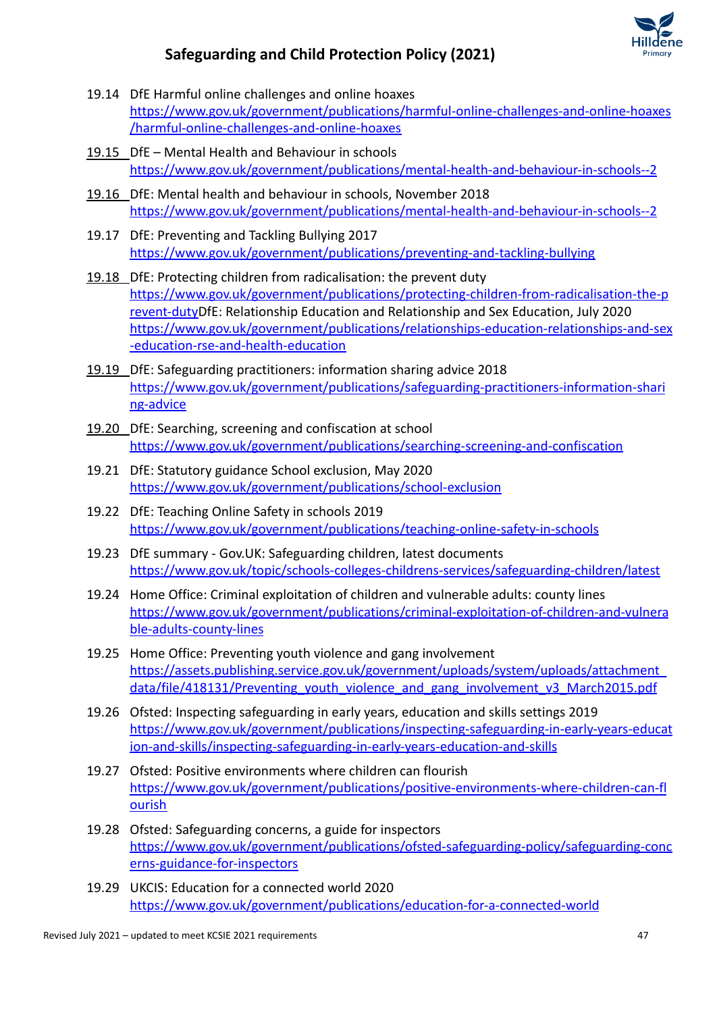

- 19.14 DfE Harmful online challenges and online hoaxes [https://www.gov.uk/government/publications/harmful-online-challenges-and-online-hoaxes](https://www.gov.uk/government/publications/harmful-online-challenges-and-online-hoaxes/harmful-online-challenges-and-online-hoaxes) [/harmful-online-challenges-and-online-hoaxes](https://www.gov.uk/government/publications/harmful-online-challenges-and-online-hoaxes/harmful-online-challenges-and-online-hoaxes)
- 19.15 DfE Mental Health and Behaviour in schools <https://www.gov.uk/government/publications/mental-health-and-behaviour-in-schools--2>
- 19.16 DfE: Mental health and behaviour in schools, November 2018 <https://www.gov.uk/government/publications/mental-health-and-behaviour-in-schools--2>
- 19.17 DfE: Preventing and Tackling Bullying 2017 <https://www.gov.uk/government/publications/preventing-and-tackling-bullying>
- 19.18 DfE: Protecting children from radicalisation: the prevent duty [https://www.gov.uk/government/publications/protecting-children-from-radicalisation-the-p](https://www.gov.uk/government/publications/protecting-children-from-radicalisation-the-prevent-duty) [revent-dutyD](https://www.gov.uk/government/publications/protecting-children-from-radicalisation-the-prevent-duty)fE: Relationship Education and Relationship and Sex Education, July 2020 [https://www.gov.uk/government/publications/relationships-education-relationships-and-sex](https://www.gov.uk/government/publications/relationships-education-relationships-and-sex-education-rse-and-health-education) [-education-rse-and-health-education](https://www.gov.uk/government/publications/relationships-education-relationships-and-sex-education-rse-and-health-education)
- 19.19 DfE: Safeguarding practitioners: information sharing advice 2018 [https://www.gov.uk/government/publications/safeguarding-practitioners-information-shari](https://www.gov.uk/government/publications/safeguarding-practitioners-information-sharing-advice) [ng-advice](https://www.gov.uk/government/publications/safeguarding-practitioners-information-sharing-advice)
- 19.20 DfE: Searching, screening and confiscation at school <https://www.gov.uk/government/publications/searching-screening-and-confiscation>
- 19.21 DfE: Statutory guidance School exclusion, May 2020 <https://www.gov.uk/government/publications/school-exclusion>
- 19.22 DfE: Teaching Online Safety in schools 2019 <https://www.gov.uk/government/publications/teaching-online-safety-in-schools>
- 19.23 DfE summary Gov.UK: Safeguarding children, latest documents <https://www.gov.uk/topic/schools-colleges-childrens-services/safeguarding-children/latest>
- 19.24 Home Office: Criminal exploitation of children and vulnerable adults: county lines [https://www.gov.uk/government/publications/criminal-exploitation-of-children-and-vulnera](https://www.gov.uk/government/publications/criminal-exploitation-of-children-and-vulnerable-adults-county-lines) [ble-adults-county-lines](https://www.gov.uk/government/publications/criminal-exploitation-of-children-and-vulnerable-adults-county-lines)
- 19.25 Home Office: Preventing youth violence and gang involvement [https://assets.publishing.service.gov.uk/government/uploads/system/uploads/attachment\\_](https://assets.publishing.service.gov.uk/government/uploads/system/uploads/attachment_data/file/418131/Preventing_youth_violence_and_gang_involvement_v3_March2015.pdf) [data/file/418131/Preventing\\_youth\\_violence\\_and\\_gang\\_involvement\\_v3\\_March2015.pdf](https://assets.publishing.service.gov.uk/government/uploads/system/uploads/attachment_data/file/418131/Preventing_youth_violence_and_gang_involvement_v3_March2015.pdf)
- 19.26 Ofsted: Inspecting safeguarding in early years, education and skills settings 2019 [https://www.gov.uk/government/publications/inspecting-safeguarding-in-early-years-educat](https://www.gov.uk/government/publications/inspecting-safeguarding-in-early-years-education-and-skills/inspecting-safeguarding-in-early-years-education-and-skills) [ion-and-skills/inspecting-safeguarding-in-early-years-education-and-skills](https://www.gov.uk/government/publications/inspecting-safeguarding-in-early-years-education-and-skills/inspecting-safeguarding-in-early-years-education-and-skills)
- 19.27 Ofsted: Positive environments where children can flourish [https://www.gov.uk/government/publications/positive-environments-where-children-can-fl](https://www.gov.uk/government/publications/positive-environments-where-children-can-flourish) [ourish](https://www.gov.uk/government/publications/positive-environments-where-children-can-flourish)
- 19.28 Ofsted: Safeguarding concerns, a guide for inspectors [https://www.gov.uk/government/publications/ofsted-safeguarding-policy/safeguarding-conc](https://www.gov.uk/government/publications/ofsted-safeguarding-policy/safeguarding-concerns-guidance-for-inspectors) [erns-guidance-for-inspectors](https://www.gov.uk/government/publications/ofsted-safeguarding-policy/safeguarding-concerns-guidance-for-inspectors)
- 19.29 UKCIS: Education for a connected world 2020 <https://www.gov.uk/government/publications/education-for-a-connected-world>